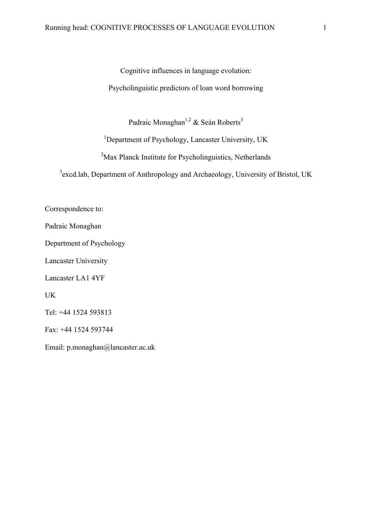Cognitive influences in language evolution: Psycholinguistic predictors of loan word borrowing

Padraic Monaghan<sup>1,2</sup> & Seán Roberts<sup>3</sup>

<sup>1</sup>Department of Psychology, Lancaster University, UK

<sup>2</sup>Max Planck Institute for Psycholinguistics, Netherlands

<sup>3</sup> excd.lab, Department of Anthropology and Archaeology, University of Bristol, UK

Correspondence to:

Padraic Monaghan

Department of Psychology

Lancaster University

Lancaster LA1 4YF

UK

Tel: +44 1524 593813

Fax: +44 1524 593744

Email: p.monaghan@lancaster.ac.uk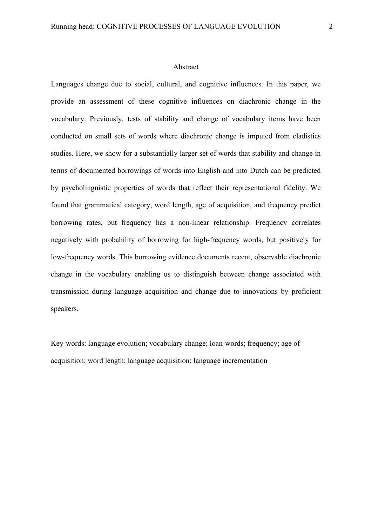#### Abstract

Languages change due to social, cultural, and cognitive influences. In this paper, we provide an assessment of these cognitive influences on diachronic change in the vocabulary. Previously, tests of stability and change of vocabulary items have been conducted on small sets of words where diachronic change is imputed from cladistics studies. Here, we show for a substantially larger set of words that stability and change in terms of documented borrowings of words into English and into Dutch can be predicted by psycholinguistic properties of words that reflect their representational fidelity. We found that grammatical category, word length, age of acquisition, and frequency predict borrowing rates, but frequency has a non-linear relationship. Frequency correlates negatively with probability of borrowing for high-frequency words, but positively for low-frequency words. This borrowing evidence documents recent, observable diachronic change in the vocabulary enabling us to distinguish between change associated with transmission during language acquisition and change due to innovations by proficient speakers.

Key-words: language evolution; vocabulary change; loan-words; frequency; age of acquisition; word length; language acquisition; language incrementation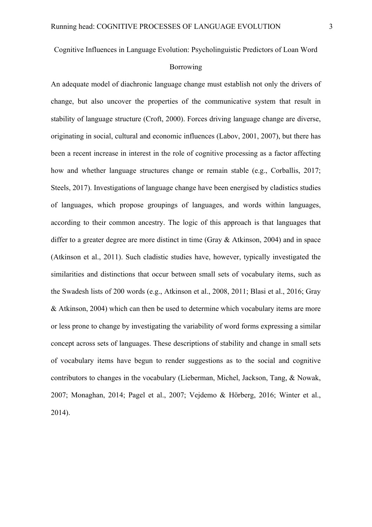Cognitive Influences in Language Evolution: Psycholinguistic Predictors of Loan Word

#### Borrowing

An adequate model of diachronic language change must establish not only the drivers of change, but also uncover the properties of the communicative system that result in stability of language structure (Croft, 2000). Forces driving language change are diverse, originating in social, cultural and economic influences (Labov, 2001, 2007), but there has been a recent increase in interest in the role of cognitive processing as a factor affecting how and whether language structures change or remain stable (e.g., Corballis, 2017; Steels, 2017). Investigations of language change have been energised by cladistics studies of languages, which propose groupings of languages, and words within languages, according to their common ancestry. The logic of this approach is that languages that differ to a greater degree are more distinct in time (Gray & Atkinson, 2004) and in space (Atkinson et al., 2011). Such cladistic studies have, however, typically investigated the similarities and distinctions that occur between small sets of vocabulary items, such as the Swadesh lists of 200 words (e.g., Atkinson et al., 2008, 2011; Blasi et al., 2016; Gray & Atkinson, 2004) which can then be used to determine which vocabulary items are more or less prone to change by investigating the variability of word forms expressing a similar concept across sets of languages. These descriptions of stability and change in small sets of vocabulary items have begun to render suggestions as to the social and cognitive contributors to changes in the vocabulary (Lieberman, Michel, Jackson, Tang, & Nowak, 2007; Monaghan, 2014; Pagel et al., 2007; Vejdemo & Hörberg, 2016; Winter et al., 2014).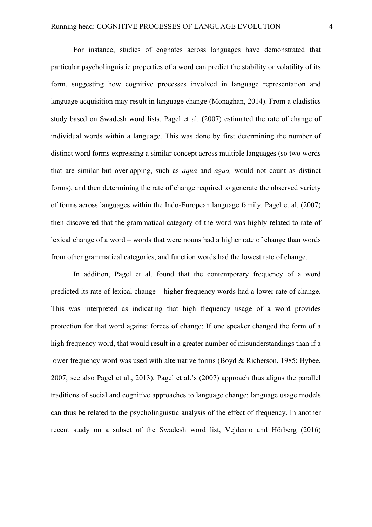For instance, studies of cognates across languages have demonstrated that particular psycholinguistic properties of a word can predict the stability or volatility of its form, suggesting how cognitive processes involved in language representation and language acquisition may result in language change (Monaghan, 2014). From a cladistics study based on Swadesh word lists, Pagel et al. (2007) estimated the rate of change of individual words within a language. This was done by first determining the number of distinct word forms expressing a similar concept across multiple languages (so two words that are similar but overlapping, such as *aqua* and *agua,* would not count as distinct forms), and then determining the rate of change required to generate the observed variety of forms across languages within the Indo-European language family. Pagel et al. (2007) then discovered that the grammatical category of the word was highly related to rate of lexical change of a word – words that were nouns had a higher rate of change than words from other grammatical categories, and function words had the lowest rate of change.

In addition, Pagel et al. found that the contemporary frequency of a word predicted its rate of lexical change – higher frequency words had a lower rate of change. This was interpreted as indicating that high frequency usage of a word provides protection for that word against forces of change: If one speaker changed the form of a high frequency word, that would result in a greater number of misunderstandings than if a lower frequency word was used with alternative forms (Boyd & Richerson, 1985; Bybee, 2007; see also Pagel et al., 2013). Pagel et al.'s (2007) approach thus aligns the parallel traditions of social and cognitive approaches to language change: language usage models can thus be related to the psycholinguistic analysis of the effect of frequency. In another recent study on a subset of the Swadesh word list, Vejdemo and Hörberg (2016)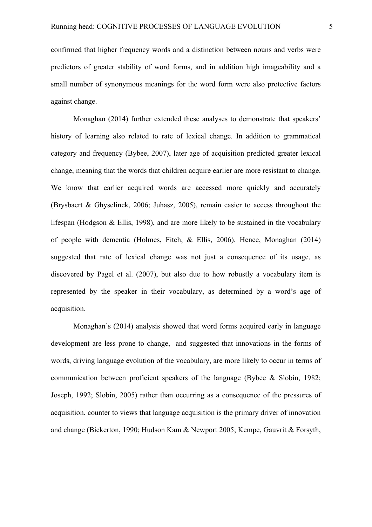confirmed that higher frequency words and a distinction between nouns and verbs were predictors of greater stability of word forms, and in addition high imageability and a small number of synonymous meanings for the word form were also protective factors against change.

Monaghan (2014) further extended these analyses to demonstrate that speakers' history of learning also related to rate of lexical change. In addition to grammatical category and frequency (Bybee, 2007), later age of acquisition predicted greater lexical change, meaning that the words that children acquire earlier are more resistant to change. We know that earlier acquired words are accessed more quickly and accurately (Brysbaert & Ghyselinck, 2006; Juhasz, 2005), remain easier to access throughout the lifespan (Hodgson & Ellis, 1998), and are more likely to be sustained in the vocabulary of people with dementia (Holmes, Fitch, & Ellis, 2006). Hence, Monaghan (2014) suggested that rate of lexical change was not just a consequence of its usage, as discovered by Pagel et al. (2007), but also due to how robustly a vocabulary item is represented by the speaker in their vocabulary, as determined by a word's age of acquisition.

Monaghan's (2014) analysis showed that word forms acquired early in language development are less prone to change, and suggested that innovations in the forms of words, driving language evolution of the vocabulary, are more likely to occur in terms of communication between proficient speakers of the language (Bybee & Slobin, 1982; Joseph, 1992; Slobin, 2005) rather than occurring as a consequence of the pressures of acquisition, counter to views that language acquisition is the primary driver of innovation and change (Bickerton, 1990; Hudson Kam & Newport 2005; Kempe, Gauvrit & Forsyth,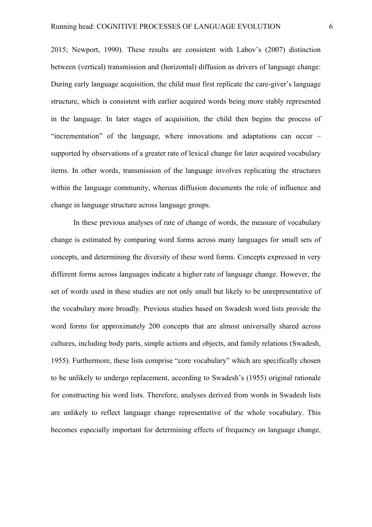2015; Newport, 1990). These results are consistent with Labov's (2007) distinction between (vertical) transmission and (horizontal) diffusion as drivers of language change: During early language acquisition, the child must first replicate the care-giver's language structure, which is consistent with earlier acquired words being more stably represented in the language. In later stages of acquisition, the child then begins the process of "incrementation" of the language, where innovations and adaptations can occur – supported by observations of a greater rate of lexical change for later acquired vocabulary items. In other words, transmission of the language involves replicating the structures within the language community, whereas diffusion documents the role of influence and change in language structure across language groups.

In these previous analyses of rate of change of words, the measure of vocabulary change is estimated by comparing word forms across many languages for small sets of concepts, and determining the diversity of these word forms. Concepts expressed in very different forms across languages indicate a higher rate of language change. However, the set of words used in these studies are not only small but likely to be unrepresentative of the vocabulary more broadly. Previous studies based on Swadesh word lists provide the word forms for approximately 200 concepts that are almost universally shared across cultures, including body parts, simple actions and objects, and family relations (Swadesh, 1955). Furthermore, these lists comprise "core vocabulary" which are specifically chosen to be unlikely to undergo replacement, according to Swadesh's (1955) original rationale for constructing his word lists. Therefore, analyses derived from words in Swadesh lists are unlikely to reflect language change representative of the whole vocabulary. This becomes especially important for determining effects of frequency on language change,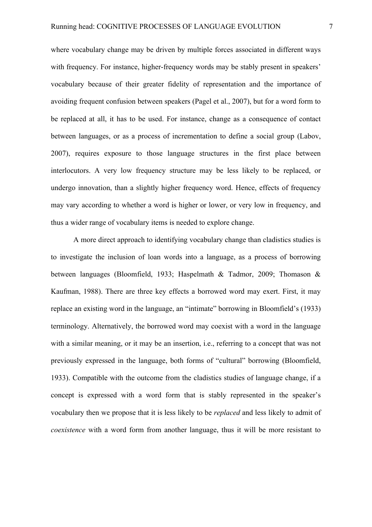where vocabulary change may be driven by multiple forces associated in different ways with frequency. For instance, higher-frequency words may be stably present in speakers' vocabulary because of their greater fidelity of representation and the importance of avoiding frequent confusion between speakers (Pagel et al., 2007), but for a word form to be replaced at all, it has to be used. For instance, change as a consequence of contact between languages, or as a process of incrementation to define a social group (Labov, 2007), requires exposure to those language structures in the first place between interlocutors. A very low frequency structure may be less likely to be replaced, or undergo innovation, than a slightly higher frequency word. Hence, effects of frequency may vary according to whether a word is higher or lower, or very low in frequency, and thus a wider range of vocabulary items is needed to explore change.

A more direct approach to identifying vocabulary change than cladistics studies is to investigate the inclusion of loan words into a language, as a process of borrowing between languages (Bloomfield, 1933; Haspelmath & Tadmor, 2009; Thomason & Kaufman, 1988). There are three key effects a borrowed word may exert. First, it may replace an existing word in the language, an "intimate" borrowing in Bloomfield's (1933) terminology. Alternatively, the borrowed word may coexist with a word in the language with a similar meaning, or it may be an insertion, i.e., referring to a concept that was not previously expressed in the language, both forms of "cultural" borrowing (Bloomfield, 1933). Compatible with the outcome from the cladistics studies of language change, if a concept is expressed with a word form that is stably represented in the speaker's vocabulary then we propose that it is less likely to be *replaced* and less likely to admit of *coexistence* with a word form from another language, thus it will be more resistant to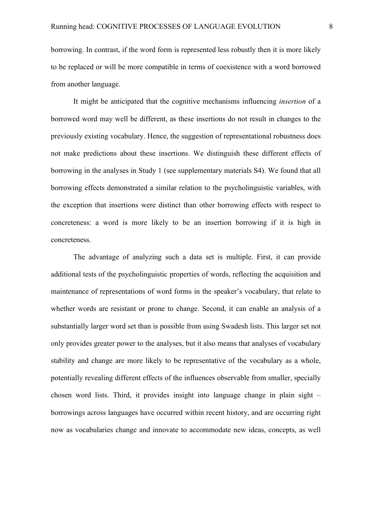borrowing. In contrast, if the word form is represented less robustly then it is more likely to be replaced or will be more compatible in terms of coexistence with a word borrowed from another language.

It might be anticipated that the cognitive mechanisms influencing *insertion* of a borrowed word may well be different, as these insertions do not result in changes to the previously existing vocabulary. Hence, the suggestion of representational robustness does not make predictions about these insertions. We distinguish these different effects of borrowing in the analyses in Study 1 (see supplementary materials S4). We found that all borrowing effects demonstrated a similar relation to the psycholinguistic variables, with the exception that insertions were distinct than other borrowing effects with respect to concreteness: a word is more likely to be an insertion borrowing if it is high in concreteness.

The advantage of analyzing such a data set is multiple. First, it can provide additional tests of the psycholinguistic properties of words, reflecting the acquisition and maintenance of representations of word forms in the speaker's vocabulary, that relate to whether words are resistant or prone to change. Second, it can enable an analysis of a substantially larger word set than is possible from using Swadesh lists. This larger set not only provides greater power to the analyses, but it also means that analyses of vocabulary stability and change are more likely to be representative of the vocabulary as a whole, potentially revealing different effects of the influences observable from smaller, specially chosen word lists. Third, it provides insight into language change in plain sight – borrowings across languages have occurred within recent history, and are occurring right now as vocabularies change and innovate to accommodate new ideas, concepts, as well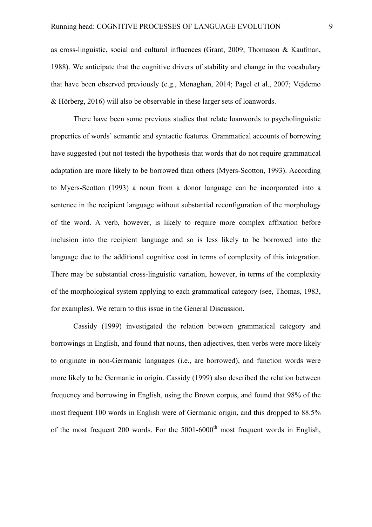as cross-linguistic, social and cultural influences (Grant, 2009; Thomason & Kaufman, 1988). We anticipate that the cognitive drivers of stability and change in the vocabulary that have been observed previously (e.g., Monaghan, 2014; Pagel et al., 2007; Vejdemo & Hörberg, 2016) will also be observable in these larger sets of loanwords.

There have been some previous studies that relate loanwords to psycholinguistic properties of words' semantic and syntactic features. Grammatical accounts of borrowing have suggested (but not tested) the hypothesis that words that do not require grammatical adaptation are more likely to be borrowed than others (Myers-Scotton, 1993). According to Myers-Scotton (1993) a noun from a donor language can be incorporated into a sentence in the recipient language without substantial reconfiguration of the morphology of the word. A verb, however, is likely to require more complex affixation before inclusion into the recipient language and so is less likely to be borrowed into the language due to the additional cognitive cost in terms of complexity of this integration. There may be substantial cross-linguistic variation, however, in terms of the complexity of the morphological system applying to each grammatical category (see, Thomas, 1983, for examples). We return to this issue in the General Discussion.

Cassidy (1999) investigated the relation between grammatical category and borrowings in English, and found that nouns, then adjectives, then verbs were more likely to originate in non-Germanic languages (i.e., are borrowed), and function words were more likely to be Germanic in origin. Cassidy (1999) also described the relation between frequency and borrowing in English, using the Brown corpus, and found that 98% of the most frequent 100 words in English were of Germanic origin, and this dropped to 88.5% of the most frequent 200 words. For the  $5001-6000<sup>th</sup>$  most frequent words in English,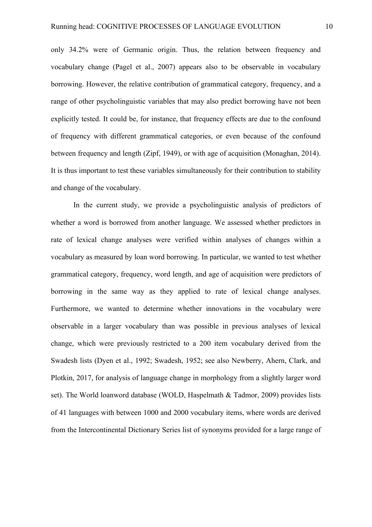only 34.2% were of Germanic origin. Thus, the relation between frequency and vocabulary change (Pagel et al., 2007) appears also to be observable in vocabulary borrowing. However, the relative contribution of grammatical category, frequency, and a range of other psycholinguistic variables that may also predict borrowing have not been explicitly tested. It could be, for instance, that frequency effects are due to the confound of frequency with different grammatical categories, or even because of the confound between frequency and length (Zipf, 1949), or with age of acquisition (Monaghan, 2014). It is thus important to test these variables simultaneously for their contribution to stability and change of the vocabulary.

In the current study, we provide a psycholinguistic analysis of predictors of whether a word is borrowed from another language. We assessed whether predictors in rate of lexical change analyses were verified within analyses of changes within a vocabulary as measured by loan word borrowing. In particular, we wanted to test whether grammatical category, frequency, word length, and age of acquisition were predictors of borrowing in the same way as they applied to rate of lexical change analyses. Furthermore, we wanted to determine whether innovations in the vocabulary were observable in a larger vocabulary than was possible in previous analyses of lexical change, which were previously restricted to a 200 item vocabulary derived from the Swadesh lists (Dyen et al., 1992; Swadesh, 1952; see also Newberry, Ahern, Clark, and Plotkin, 2017, for analysis of language change in morphology from a slightly larger word set). The World loanword database (WOLD, Haspelmath & Tadmor, 2009) provides lists of 41 languages with between 1000 and 2000 vocabulary items, where words are derived from the Intercontinental Dictionary Series list of synonyms provided for a large range of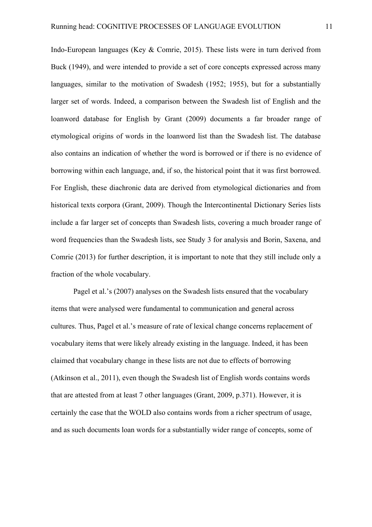Indo-European languages (Key & Comrie, 2015). These lists were in turn derived from Buck (1949), and were intended to provide a set of core concepts expressed across many languages, similar to the motivation of Swadesh (1952; 1955), but for a substantially larger set of words. Indeed, a comparison between the Swadesh list of English and the loanword database for English by Grant (2009) documents a far broader range of etymological origins of words in the loanword list than the Swadesh list. The database also contains an indication of whether the word is borrowed or if there is no evidence of borrowing within each language, and, if so, the historical point that it was first borrowed. For English, these diachronic data are derived from etymological dictionaries and from historical texts corpora (Grant, 2009). Though the Intercontinental Dictionary Series lists include a far larger set of concepts than Swadesh lists, covering a much broader range of word frequencies than the Swadesh lists, see Study 3 for analysis and Borin, Saxena, and Comrie (2013) for further description, it is important to note that they still include only a fraction of the whole vocabulary.

Pagel et al.'s (2007) analyses on the Swadesh lists ensured that the vocabulary items that were analysed were fundamental to communication and general across cultures. Thus, Pagel et al.'s measure of rate of lexical change concerns replacement of vocabulary items that were likely already existing in the language. Indeed, it has been claimed that vocabulary change in these lists are not due to effects of borrowing (Atkinson et al., 2011), even though the Swadesh list of English words contains words that are attested from at least 7 other languages (Grant, 2009, p.371). However, it is certainly the case that the WOLD also contains words from a richer spectrum of usage, and as such documents loan words for a substantially wider range of concepts, some of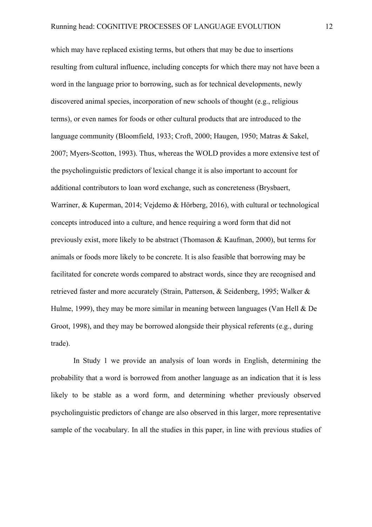which may have replaced existing terms, but others that may be due to insertions resulting from cultural influence, including concepts for which there may not have been a word in the language prior to borrowing, such as for technical developments, newly discovered animal species, incorporation of new schools of thought (e.g., religious terms), or even names for foods or other cultural products that are introduced to the language community (Bloomfield, 1933; Croft, 2000; Haugen, 1950; Matras & Sakel, 2007; Myers-Scotton, 1993). Thus, whereas the WOLD provides a more extensive test of the psycholinguistic predictors of lexical change it is also important to account for additional contributors to loan word exchange, such as concreteness (Brysbaert, Warriner, & Kuperman, 2014; Vejdemo & Hörberg, 2016), with cultural or technological concepts introduced into a culture, and hence requiring a word form that did not previously exist, more likely to be abstract (Thomason & Kaufman, 2000), but terms for animals or foods more likely to be concrete. It is also feasible that borrowing may be facilitated for concrete words compared to abstract words, since they are recognised and retrieved faster and more accurately (Strain, Patterson, & Seidenberg, 1995; Walker & Hulme, 1999), they may be more similar in meaning between languages (Van Hell & De Groot, 1998), and they may be borrowed alongside their physical referents (e.g., during trade).

In Study 1 we provide an analysis of loan words in English, determining the probability that a word is borrowed from another language as an indication that it is less likely to be stable as a word form, and determining whether previously observed psycholinguistic predictors of change are also observed in this larger, more representative sample of the vocabulary. In all the studies in this paper, in line with previous studies of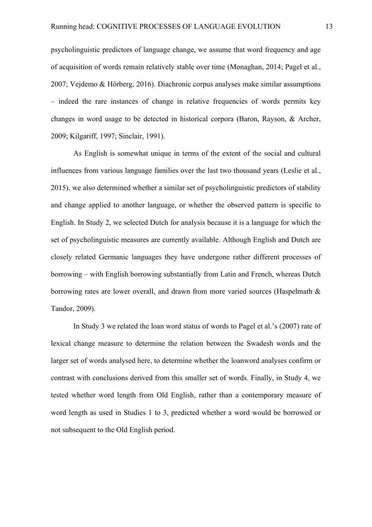psycholinguistic predictors of language change, we assume that word frequency and age of acquisition of words remain relatively stable over time (Monaghan, 2014; Pagel et al., 2007; Vejdemo & Hörberg, 2016). Diachronic corpus analyses make similar assumptions – indeed the rare instances of change in relative frequencies of words permits key changes in word usage to be detected in historical corpora (Baron, Rayson, & Archer, 2009; Kilgariff, 1997; Sinclair, 1991).

As English is somewhat unique in terms of the extent of the social and cultural influences from various language families over the last two thousand years (Leslie et al., 2015), we also determined whether a similar set of psycholinguistic predictors of stability and change applied to another language, or whether the observed pattern is specific to English. In Study 2, we selected Dutch for analysis because it is a language for which the set of psycholinguistic measures are currently available. Although English and Dutch are closely related Germanic languages they have undergone rather different processes of borrowing – with English borrowing substantially from Latin and French, whereas Dutch borrowing rates are lower overall, and drawn from more varied sources (Haspelmath & Tandor, 2009).

In Study 3 we related the loan word status of words to Pagel et al.'s (2007) rate of lexical change measure to determine the relation between the Swadesh words and the larger set of words analysed here, to determine whether the loanword analyses confirm or contrast with conclusions derived from this smaller set of words. Finally, in Study 4, we tested whether word length from Old English, rather than a contemporary measure of word length as used in Studies 1 to 3, predicted whether a word would be borrowed or not subsequent to the Old English period.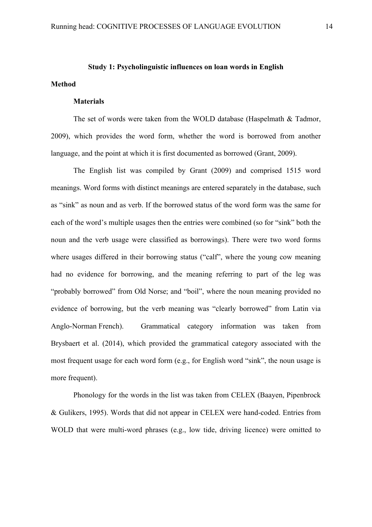# **Study 1: Psycholinguistic influences on loan words in English**

#### **Materials**

**Method**

The set of words were taken from the WOLD database (Haspelmath & Tadmor, 2009), which provides the word form, whether the word is borrowed from another language, and the point at which it is first documented as borrowed (Grant, 2009).

The English list was compiled by Grant (2009) and comprised 1515 word meanings. Word forms with distinct meanings are entered separately in the database, such as "sink" as noun and as verb. If the borrowed status of the word form was the same for each of the word's multiple usages then the entries were combined (so for "sink" both the noun and the verb usage were classified as borrowings). There were two word forms where usages differed in their borrowing status ("calf", where the young cow meaning had no evidence for borrowing, and the meaning referring to part of the leg was "probably borrowed" from Old Norse; and "boil", where the noun meaning provided no evidence of borrowing, but the verb meaning was "clearly borrowed" from Latin via Anglo-Norman French). Grammatical category information was taken from Brysbaert et al. (2014), which provided the grammatical category associated with the most frequent usage for each word form (e.g., for English word "sink", the noun usage is more frequent).

Phonology for the words in the list was taken from CELEX (Baayen, Pipenbrock & Gulikers, 1995). Words that did not appear in CELEX were hand-coded. Entries from WOLD that were multi-word phrases (e.g., low tide, driving licence) were omitted to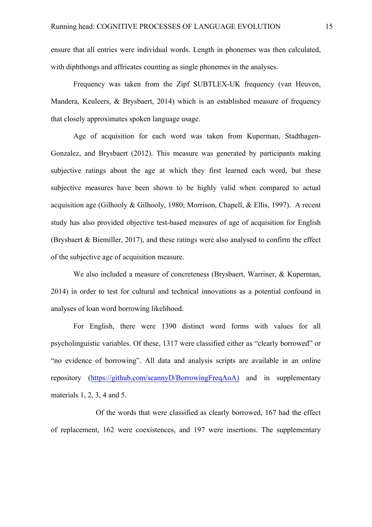ensure that all entries were individual words. Length in phonemes was then calculated, with diphthongs and affricates counting as single phonemes in the analyses.

Frequency was taken from the Zipf SUBTLEX-UK frequency (van Heuven, Mandera, Keuleers, & Brysbaert, 2014) which is an established measure of frequency that closely approximates spoken language usage.

Age of acquisition for each word was taken from Kuperman, Stadthagen-Gonzalez, and Brysbaert (2012). This measure was generated by participants making subjective ratings about the age at which they first learned each word, but these subjective measures have been shown to be highly valid when compared to actual acquisition age (Gilhooly & Gilhooly, 1980; Morrison, Chapell, & Ellis, 1997). A recent study has also provided objective test-based measures of age of acquisition for English (Brysbaert & Biemiller, 2017), and these ratings were also analysed to confirm the effect of the subjective age of acquisition measure.

We also included a measure of concreteness (Brysbaert, Warriner, & Kuperman, 2014) in order to test for cultural and technical innovations as a potential confound in analyses of loan word borrowing likelihood.

For English, there were 1390 distinct word forms with values for all psycholinguistic variables. Of these, 1317 were classified either as "clearly borrowed" or "no evidence of borrowing". All data and analysis scripts are available in an online repository (https://github.com/seannyD/BorrowingFreqAoA) and in supplementary materials 1, 2, 3, 4 and 5.

Of the words that were classified as clearly borrowed, 167 had the effect of replacement, 162 were coexistences, and 197 were insertions. The supplementary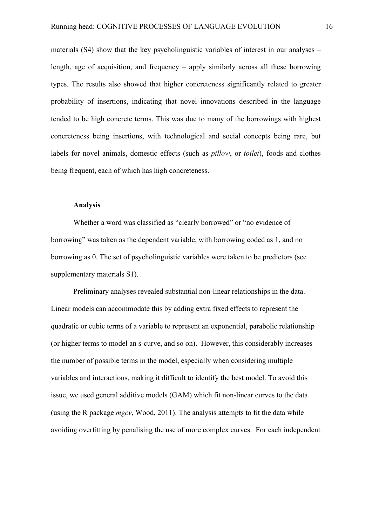materials (S4) show that the key psycholinguistic variables of interest in our analyses – length, age of acquisition, and frequency – apply similarly across all these borrowing types. The results also showed that higher concreteness significantly related to greater probability of insertions, indicating that novel innovations described in the language tended to be high concrete terms. This was due to many of the borrowings with highest concreteness being insertions, with technological and social concepts being rare, but labels for novel animals, domestic effects (such as *pillow*, or *toilet*), foods and clothes being frequent, each of which has high concreteness.

#### **Analysis**

Whether a word was classified as "clearly borrowed" or "no evidence of borrowing" was taken as the dependent variable, with borrowing coded as 1, and no borrowing as 0. The set of psycholinguistic variables were taken to be predictors (see supplementary materials S1).

Preliminary analyses revealed substantial non-linear relationships in the data. Linear models can accommodate this by adding extra fixed effects to represent the quadratic or cubic terms of a variable to represent an exponential, parabolic relationship (or higher terms to model an s-curve, and so on). However, this considerably increases the number of possible terms in the model, especially when considering multiple variables and interactions, making it difficult to identify the best model. To avoid this issue, we used general additive models (GAM) which fit non-linear curves to the data (using the R package *mgcv*, Wood, 2011). The analysis attempts to fit the data while avoiding overfitting by penalising the use of more complex curves. For each independent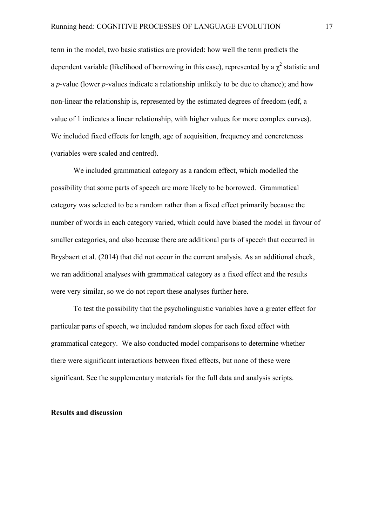term in the model, two basic statistics are provided: how well the term predicts the dependent variable (likelihood of borrowing in this case), represented by a  $\chi^2$  statistic and a *p*-value (lower *p*-values indicate a relationship unlikely to be due to chance); and how non-linear the relationship is, represented by the estimated degrees of freedom (edf, a value of 1 indicates a linear relationship, with higher values for more complex curves). We included fixed effects for length, age of acquisition, frequency and concreteness (variables were scaled and centred).

We included grammatical category as a random effect, which modelled the possibility that some parts of speech are more likely to be borrowed. Grammatical category was selected to be a random rather than a fixed effect primarily because the number of words in each category varied, which could have biased the model in favour of smaller categories, and also because there are additional parts of speech that occurred in Brysbaert et al. (2014) that did not occur in the current analysis. As an additional check, we ran additional analyses with grammatical category as a fixed effect and the results were very similar, so we do not report these analyses further here.

To test the possibility that the psycholinguistic variables have a greater effect for particular parts of speech, we included random slopes for each fixed effect with grammatical category. We also conducted model comparisons to determine whether there were significant interactions between fixed effects, but none of these were significant. See the supplementary materials for the full data and analysis scripts.

#### **Results and discussion**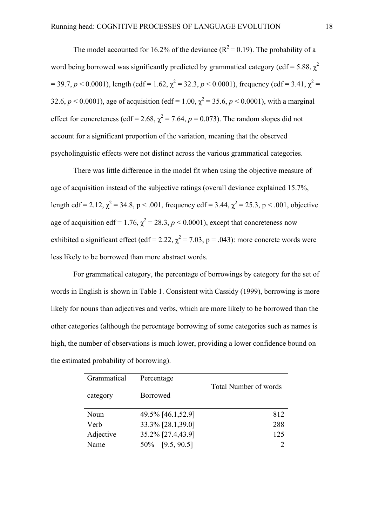The model accounted for 16.2% of the deviance  $(R^2 = 0.19)$ . The probability of a word being borrowed was significantly predicted by grammatical category (edf = 5.88,  $\chi^2$ )  $= 39.7, p < 0.0001$ ), length (edf = 1.62,  $\chi^2 = 32.3, p < 0.0001$ ), frequency (edf = 3.41,  $\chi^2 =$ 32.6,  $p < 0.0001$ ), age of acquisition (edf = 1.00,  $\chi^2$  = 35.6,  $p < 0.0001$ ), with a marginal effect for concreteness (edf = 2.68,  $\chi^2$  = 7.64, *p* = 0.073). The random slopes did not account for a significant proportion of the variation, meaning that the observed psycholinguistic effects were not distinct across the various grammatical categories.

There was little difference in the model fit when using the objective measure of age of acquisition instead of the subjective ratings (overall deviance explained 15.7%, length edf = 2.12,  $\chi^2$  = 34.8, p < .001, frequency edf = 3.44,  $\chi^2$  = 25.3, p < .001, objective age of acquisition edf = 1.76,  $\chi^2$  = 28.3, *p* < 0.0001), except that concreteness now exhibited a significant effect (edf = 2.22,  $\chi^2$  = 7.03, p = .043): more concrete words were less likely to be borrowed than more abstract words.

For grammatical category, the percentage of borrowings by category for the set of words in English is shown in Table 1. Consistent with Cassidy (1999), borrowing is more likely for nouns than adjectives and verbs, which are more likely to be borrowed than the other categories (although the percentage borrowing of some categories such as names is high, the number of observations is much lower, providing a lower confidence bound on the estimated probability of borrowing).

| Grammatical | Percentage        | <b>Total Number of words</b> |
|-------------|-------------------|------------------------------|
| category    | <b>Borrowed</b>   |                              |
| Noun        | 49.5% [46.1,52.9] | 812                          |
| Verb        | 33.3% [28.1,39.0] | 288                          |
| Adjective   | 35.2% [27.4,43.9] | 125                          |
| Name        | 50\% [9.5, 90.5]  |                              |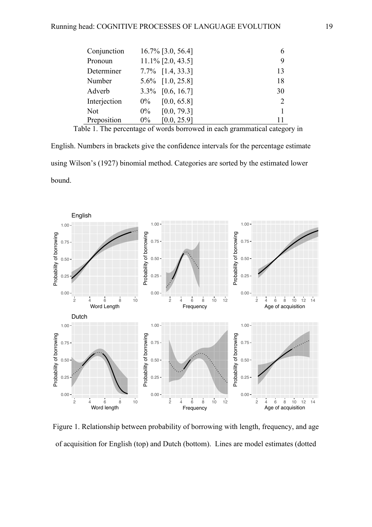| Conjunction  | $16.7\%$ [3.0, 56.4] |               |
|--------------|----------------------|---------------|
| Pronoun      | $11.1\%$ [2.0, 43.5] | 9             |
| Determiner   | $7.7\%$ [1.4, 33.3]  | 13            |
| Number       | $5.6\%$ [1.0, 25.8]  | 18            |
| Adverb       | $3.3\%$ [0.6, 16.7]  | 30            |
| Interjection | [0.0, 65.8]<br>$0\%$ | $\mathcal{D}$ |
| <b>Not</b>   | [0.0, 79.3]<br>$0\%$ |               |
| Preposition  | [0.0, 25.9]<br>$0\%$ |               |

Table 1. The percentage of words borrowed in each grammatical category in

English. Numbers in brackets give the confidence intervals for the percentage estimate using Wilson's (1927) binomial method. Categories are sorted by the estimated lower bound.



Figure 1. Relationship between probability of borrowing with length, frequency, and age of acquisition for English (top) and Dutch (bottom). Lines are model estimates (dotted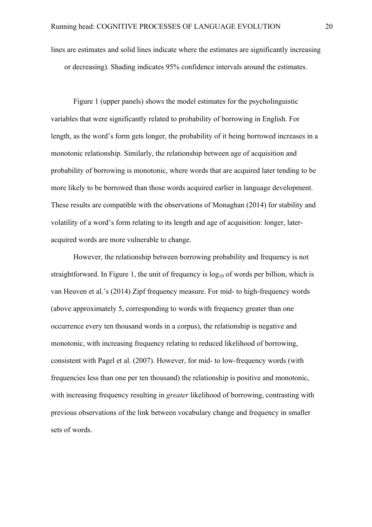lines are estimates and solid lines indicate where the estimates are significantly increasing or decreasing). Shading indicates 95% confidence intervals around the estimates.

Figure 1 (upper panels) shows the model estimates for the psycholinguistic variables that were significantly related to probability of borrowing in English. For length, as the word's form gets longer, the probability of it being borrowed increases in a monotonic relationship. Similarly, the relationship between age of acquisition and probability of borrowing is monotonic, where words that are acquired later tending to be more likely to be borrowed than those words acquired earlier in language development. These results are compatible with the observations of Monaghan (2014) for stability and volatility of a word's form relating to its length and age of acquisition: longer, lateracquired words are more vulnerable to change.

However, the relationship between borrowing probability and frequency is not straightforward. In Figure 1, the unit of frequency is  $log_{10}$  of words per billion, which is van Heuven et al.'s (2014) Zipf frequency measure. For mid- to high-frequency words (above approximately 5, corresponding to words with frequency greater than one occurrence every ten thousand words in a corpus), the relationship is negative and monotonic, with increasing frequency relating to reduced likelihood of borrowing, consistent with Pagel et al. (2007). However, for mid- to low-frequency words (with frequencies less than one per ten thousand) the relationship is positive and monotonic, with increasing frequency resulting in *greater* likelihood of borrowing, contrasting with previous observations of the link between vocabulary change and frequency in smaller sets of words.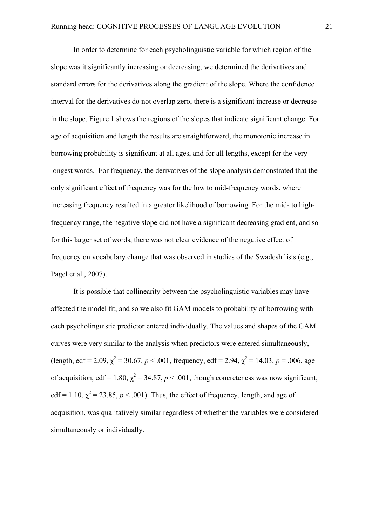In order to determine for each psycholinguistic variable for which region of the slope was it significantly increasing or decreasing, we determined the derivatives and standard errors for the derivatives along the gradient of the slope. Where the confidence interval for the derivatives do not overlap zero, there is a significant increase or decrease in the slope. Figure 1 shows the regions of the slopes that indicate significant change. For age of acquisition and length the results are straightforward, the monotonic increase in borrowing probability is significant at all ages, and for all lengths, except for the very longest words. For frequency, the derivatives of the slope analysis demonstrated that the only significant effect of frequency was for the low to mid-frequency words, where increasing frequency resulted in a greater likelihood of borrowing. For the mid- to highfrequency range, the negative slope did not have a significant decreasing gradient, and so for this larger set of words, there was not clear evidence of the negative effect of frequency on vocabulary change that was observed in studies of the Swadesh lists (e.g., Pagel et al., 2007).

It is possible that collinearity between the psycholinguistic variables may have affected the model fit, and so we also fit GAM models to probability of borrowing with each psycholinguistic predictor entered individually. The values and shapes of the GAM curves were very similar to the analysis when predictors were entered simultaneously, (length, edf = 2.09,  $\chi^2$  = 30.67, *p* < .001, frequency, edf = 2.94,  $\chi^2$  = 14.03, *p* = .006, age of acquisition, edf = 1.80,  $\chi^2$  = 34.87, *p* < .001, though concreteness was now significant, edf = 1.10,  $\chi^2$  = 23.85,  $p < .001$ ). Thus, the effect of frequency, length, and age of acquisition, was qualitatively similar regardless of whether the variables were considered simultaneously or individually.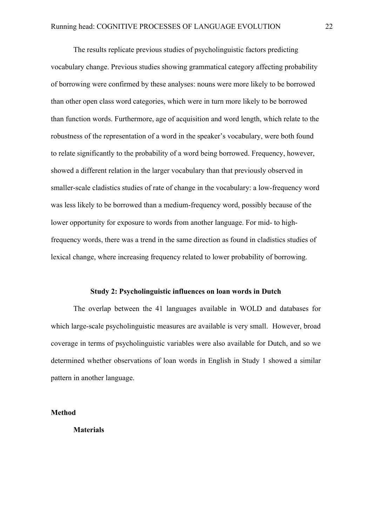The results replicate previous studies of psycholinguistic factors predicting vocabulary change. Previous studies showing grammatical category affecting probability of borrowing were confirmed by these analyses: nouns were more likely to be borrowed than other open class word categories, which were in turn more likely to be borrowed than function words. Furthermore, age of acquisition and word length, which relate to the robustness of the representation of a word in the speaker's vocabulary, were both found to relate significantly to the probability of a word being borrowed. Frequency, however, showed a different relation in the larger vocabulary than that previously observed in smaller-scale cladistics studies of rate of change in the vocabulary: a low-frequency word was less likely to be borrowed than a medium-frequency word, possibly because of the lower opportunity for exposure to words from another language. For mid- to highfrequency words, there was a trend in the same direction as found in cladistics studies of lexical change, where increasing frequency related to lower probability of borrowing.

#### **Study 2: Psycholinguistic influences on loan words in Dutch**

The overlap between the 41 languages available in WOLD and databases for which large-scale psycholinguistic measures are available is very small. However, broad coverage in terms of psycholinguistic variables were also available for Dutch, and so we determined whether observations of loan words in English in Study 1 showed a similar pattern in another language.

**Method**

**Materials**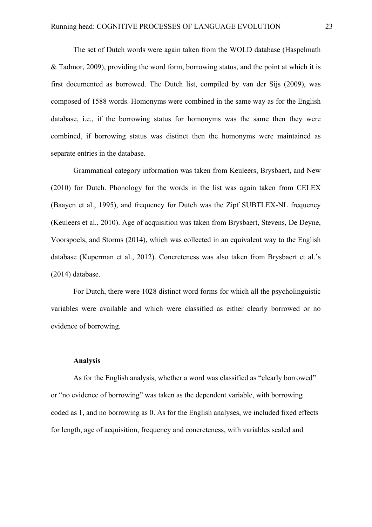The set of Dutch words were again taken from the WOLD database (Haspelmath & Tadmor, 2009), providing the word form, borrowing status, and the point at which it is first documented as borrowed. The Dutch list, compiled by van der Sijs (2009), was composed of 1588 words. Homonyms were combined in the same way as for the English database, i.e., if the borrowing status for homonyms was the same then they were combined, if borrowing status was distinct then the homonyms were maintained as separate entries in the database.

Grammatical category information was taken from Keuleers, Brysbaert, and New (2010) for Dutch. Phonology for the words in the list was again taken from CELEX (Baayen et al., 1995), and frequency for Dutch was the Zipf SUBTLEX-NL frequency (Keuleers et al., 2010). Age of acquisition was taken from Brysbaert, Stevens, De Deyne, Voorspoels, and Storms (2014), which was collected in an equivalent way to the English database (Kuperman et al., 2012). Concreteness was also taken from Brysbaert et al.'s (2014) database.

For Dutch, there were 1028 distinct word forms for which all the psycholinguistic variables were available and which were classified as either clearly borrowed or no evidence of borrowing.

#### **Analysis**

As for the English analysis, whether a word was classified as "clearly borrowed" or "no evidence of borrowing" was taken as the dependent variable, with borrowing coded as 1, and no borrowing as 0. As for the English analyses, we included fixed effects for length, age of acquisition, frequency and concreteness, with variables scaled and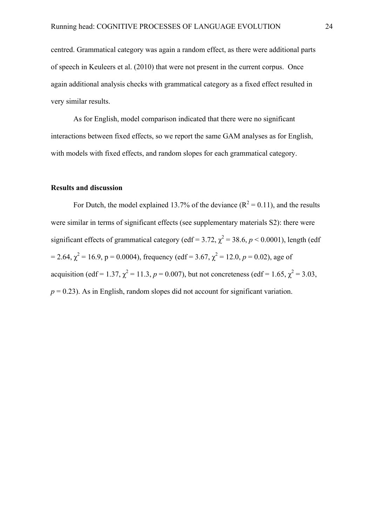centred. Grammatical category was again a random effect, as there were additional parts of speech in Keuleers et al. (2010) that were not present in the current corpus. Once again additional analysis checks with grammatical category as a fixed effect resulted in very similar results.

As for English, model comparison indicated that there were no significant interactions between fixed effects, so we report the same GAM analyses as for English, with models with fixed effects, and random slopes for each grammatical category.

#### **Results and discussion**

For Dutch, the model explained 13.7% of the deviance  $(R^2 = 0.11)$ , and the results were similar in terms of significant effects (see supplementary materials S2): there were significant effects of grammatical category (edf = 3.72,  $\chi^2$  = 38.6, *p* < 0.0001), length (edf = 2.64,  $\chi^2$  = 16.9, p = 0.0004), frequency (edf = 3.67,  $\chi^2$  = 12.0, p = 0.02), age of acquisition (edf = 1.37,  $\chi^2$  = 11.3, *p* = 0.007), but not concreteness (edf = 1.65,  $\chi^2$  = 3.03,  $p = 0.23$ ). As in English, random slopes did not account for significant variation.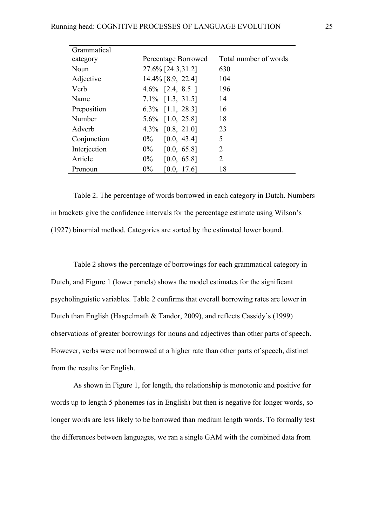| Grammatical  |                      |                       |
|--------------|----------------------|-----------------------|
| category     | Percentage Borrowed  | Total number of words |
| Noun         | 27.6% [24.3,31.2]    | 630                   |
| Adjective    | $14.4\%$ [8.9, 22.4] | 104                   |
| Verb         | $4.6\%$ [2.4, 8.5 ]  | 196                   |
| Name         | $7.1\%$ [1.3, 31.5]  | 14                    |
| Preposition  | $6.3\%$ [1.1, 28.3]  | 16                    |
| Number       | 5.6% [1.0, 25.8]     | 18                    |
| Adverb       | 4.3% $[0.8, 21.0]$   | 23                    |
| Conjunction  | $0\%$<br>[0.0, 43.4] | 5                     |
| Interjection | $0\%$<br>[0.0, 65.8] | $\overline{2}$        |
| Article      | $0\%$<br>[0.0, 65.8] | 2                     |
| Pronoun      | $0\%$<br>[0.0, 17.6] | 18                    |

Table 2. The percentage of words borrowed in each category in Dutch. Numbers in brackets give the confidence intervals for the percentage estimate using Wilson's (1927) binomial method. Categories are sorted by the estimated lower bound.

Table 2 shows the percentage of borrowings for each grammatical category in Dutch, and Figure 1 (lower panels) shows the model estimates for the significant psycholinguistic variables. Table 2 confirms that overall borrowing rates are lower in Dutch than English (Haspelmath & Tandor, 2009), and reflects Cassidy's (1999) observations of greater borrowings for nouns and adjectives than other parts of speech. However, verbs were not borrowed at a higher rate than other parts of speech, distinct from the results for English.

As shown in Figure 1, for length, the relationship is monotonic and positive for words up to length 5 phonemes (as in English) but then is negative for longer words, so longer words are less likely to be borrowed than medium length words. To formally test the differences between languages, we ran a single GAM with the combined data from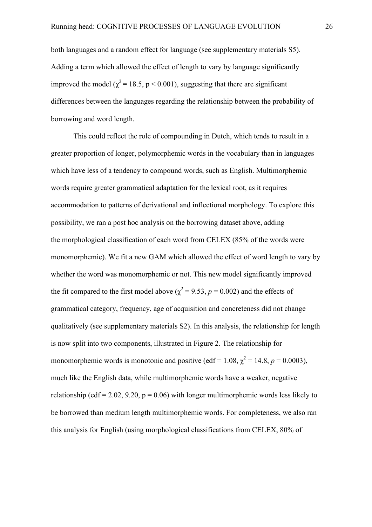both languages and a random effect for language (see supplementary materials S5). Adding a term which allowed the effect of length to vary by language significantly improved the model ( $\chi^2$  = 18.5, p < 0.001), suggesting that there are significant differences between the languages regarding the relationship between the probability of borrowing and word length.

This could reflect the role of compounding in Dutch, which tends to result in a greater proportion of longer, polymorphemic words in the vocabulary than in languages which have less of a tendency to compound words, such as English. Multimorphemic words require greater grammatical adaptation for the lexical root, as it requires accommodation to patterns of derivational and inflectional morphology. To explore this possibility, we ran a post hoc analysis on the borrowing dataset above, adding the morphological classification of each word from CELEX (85% of the words were monomorphemic). We fit a new GAM which allowed the effect of word length to vary by whether the word was monomorphemic or not. This new model significantly improved the fit compared to the first model above ( $\chi^2$  = 9.53, *p* = 0.002) and the effects of grammatical category, frequency, age of acquisition and concreteness did not change qualitatively (see supplementary materials S2). In this analysis, the relationship for length is now split into two components, illustrated in Figure 2. The relationship for monomorphemic words is monotonic and positive (edf = 1.08,  $\chi^2$  = 14.8, *p* = 0.0003), much like the English data, while multimorphemic words have a weaker, negative relationship (edf = 2.02, 9.20,  $p = 0.06$ ) with longer multimorphemic words less likely to be borrowed than medium length multimorphemic words. For completeness, we also ran this analysis for English (using morphological classifications from CELEX, 80% of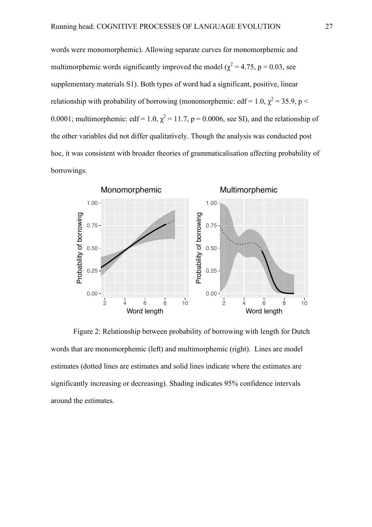words were monomorphemic). Allowing separate curves for monomorphemic and multimorphemic words significantly improved the model ( $\chi^2$  = 4.75, p = 0.03, see supplementary materials S1). Both types of word had a significant, positive, linear relationship with probability of borrowing (monomorphemic: edf = 1.0,  $\chi^2$  = 35.9, p < 0.0001; multimorphemic: edf = 1.0,  $\chi^2$  = 11.7, p = 0.0006, see SI), and the relationship of the other variables did not differ qualitatively. Though the analysis was conducted post hoc, it was consistent with broader theories of grammaticalisation affecting probability of borrowings.



Figure 2: Relationship between probability of borrowing with length for Dutch words that are monomorphemic (left) and multimorphemic (right). Lines are model estimates (dotted lines are estimates and solid lines indicate where the estimates are significantly increasing or decreasing). Shading indicates 95% confidence intervals around the estimates.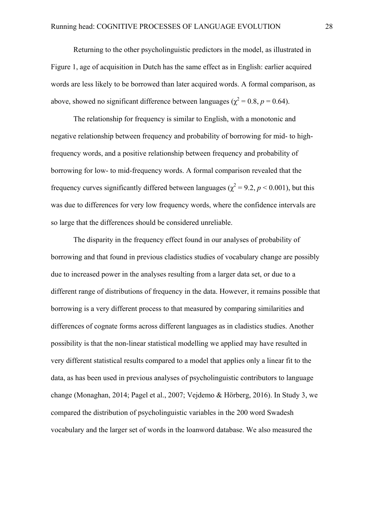Returning to the other psycholinguistic predictors in the model, as illustrated in Figure 1, age of acquisition in Dutch has the same effect as in English: earlier acquired words are less likely to be borrowed than later acquired words. A formal comparison, as above, showed no significant difference between languages ( $\chi^2 = 0.8$ ,  $p = 0.64$ ).

The relationship for frequency is similar to English, with a monotonic and negative relationship between frequency and probability of borrowing for mid- to highfrequency words, and a positive relationship between frequency and probability of borrowing for low- to mid-frequency words. A formal comparison revealed that the frequency curves significantly differed between languages ( $\chi^2$  = 9.2, *p* < 0.001), but this was due to differences for very low frequency words, where the confidence intervals are so large that the differences should be considered unreliable.

The disparity in the frequency effect found in our analyses of probability of borrowing and that found in previous cladistics studies of vocabulary change are possibly due to increased power in the analyses resulting from a larger data set, or due to a different range of distributions of frequency in the data. However, it remains possible that borrowing is a very different process to that measured by comparing similarities and differences of cognate forms across different languages as in cladistics studies. Another possibility is that the non-linear statistical modelling we applied may have resulted in very different statistical results compared to a model that applies only a linear fit to the data, as has been used in previous analyses of psycholinguistic contributors to language change (Monaghan, 2014; Pagel et al., 2007; Vejdemo & Hörberg, 2016). In Study 3, we compared the distribution of psycholinguistic variables in the 200 word Swadesh vocabulary and the larger set of words in the loanword database. We also measured the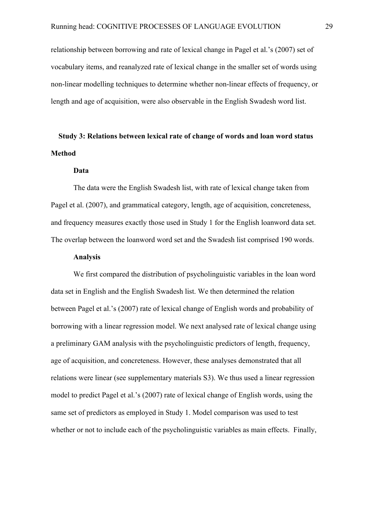relationship between borrowing and rate of lexical change in Pagel et al.'s (2007) set of vocabulary items, and reanalyzed rate of lexical change in the smaller set of words using non-linear modelling techniques to determine whether non-linear effects of frequency, or length and age of acquisition, were also observable in the English Swadesh word list.

## **Study 3: Relations between lexical rate of change of words and loan word status Method**

#### **Data**

The data were the English Swadesh list, with rate of lexical change taken from Pagel et al. (2007), and grammatical category, length, age of acquisition, concreteness, and frequency measures exactly those used in Study 1 for the English loanword data set. The overlap between the loanword word set and the Swadesh list comprised 190 words.

#### **Analysis**

We first compared the distribution of psycholinguistic variables in the loan word data set in English and the English Swadesh list. We then determined the relation between Pagel et al.'s (2007) rate of lexical change of English words and probability of borrowing with a linear regression model. We next analysed rate of lexical change using a preliminary GAM analysis with the psycholinguistic predictors of length, frequency, age of acquisition, and concreteness. However, these analyses demonstrated that all relations were linear (see supplementary materials S3). We thus used a linear regression model to predict Pagel et al.'s (2007) rate of lexical change of English words, using the same set of predictors as employed in Study 1. Model comparison was used to test whether or not to include each of the psycholinguistic variables as main effects. Finally,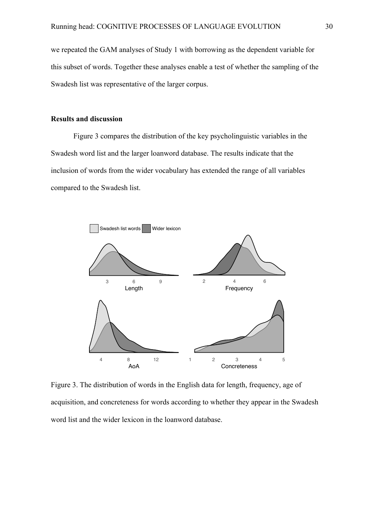we repeated the GAM analyses of Study 1 with borrowing as the dependent variable for this subset of words. Together these analyses enable a test of whether the sampling of the Swadesh list was representative of the larger corpus.

#### **Results and discussion**

Figure 3 compares the distribution of the key psycholinguistic variables in the Swadesh word list and the larger loanword database. The results indicate that the inclusion of words from the wider vocabulary has extended the range of all variables compared to the Swadesh list.



Figure 3. The distribution of words in the English data for length, frequency, age of acquisition, and concreteness for words according to whether they appear in the Swadesh word list and the wider lexicon in the loanword database.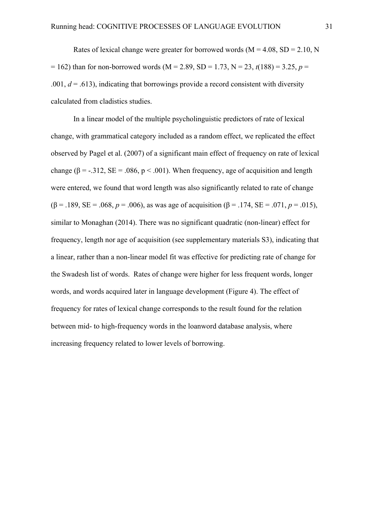Rates of lexical change were greater for borrowed words ( $M = 4.08$ , SD = 2.10, N  $= 162$ ) than for non-borrowed words (M = 2.89, SD = 1.73, N = 23,  $t(188) = 3.25$ ,  $p = 1.73$ .001,  $d = .613$ ), indicating that borrowings provide a record consistent with diversity calculated from cladistics studies.

In a linear model of the multiple psycholinguistic predictors of rate of lexical change, with grammatical category included as a random effect, we replicated the effect observed by Pagel et al. (2007) of a significant main effect of frequency on rate of lexical change ( $\beta$  = -.312, SE = .086, p < .001). When frequency, age of acquisition and length were entered, we found that word length was also significantly related to rate of change ( $\beta$  = .189, SE = .068, *p* = .006), as was age of acquisition ( $\beta$  = .174, SE = .071, *p* = .015), similar to Monaghan (2014). There was no significant quadratic (non-linear) effect for frequency, length nor age of acquisition (see supplementary materials S3), indicating that a linear, rather than a non-linear model fit was effective for predicting rate of change for the Swadesh list of words. Rates of change were higher for less frequent words, longer words, and words acquired later in language development (Figure 4). The effect of frequency for rates of lexical change corresponds to the result found for the relation between mid- to high-frequency words in the loanword database analysis, where increasing frequency related to lower levels of borrowing.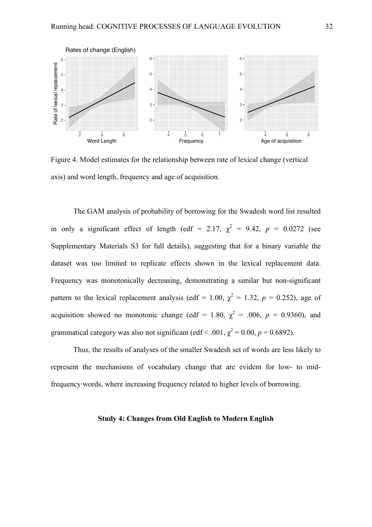

Figure 4. Model estimates for the relationship between rate of lexical change (vertical axis) and word length, frequency and age of acquisition.

The GAM analysis of probability of borrowing for the Swadesh word list resulted in only a significant effect of length (edf = 2.17,  $\chi^2$  = 9.42,  $p = 0.0272$  (see Supplementary Materials S3 for full details), suggesting that for a binary variable the dataset was too limited to replicate effects shown in the lexical replacement data. Frequency was monotonically decreasing, demonstrating a similar but non-significant pattern to the lexical replacement analysis (edf = 1.00,  $\chi^2 = 1.32$ ,  $p = 0.252$ ), age of acquisition showed no monotonic change (edf = 1.80,  $\chi^2$  = .006,  $p$  = 0.9360), and grammatical category was also not significant (edf < .001,  $\chi^2$  = 0.00, *p* = 0.6892).

Thus, the results of analyses of the smaller Swadesh set of words are less likely to represent the mechanisms of vocabulary change that are evident for low- to midfrequency words, where increasing frequency related to higher levels of borrowing.

#### **Study 4: Changes from Old English to Modern English**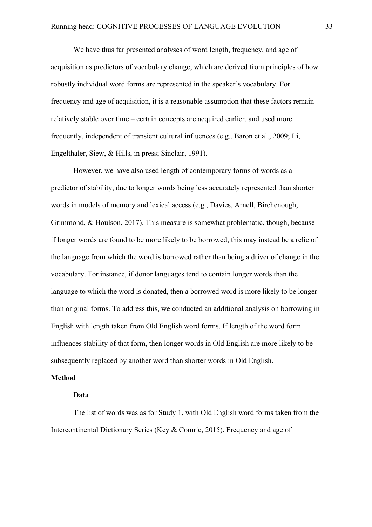We have thus far presented analyses of word length, frequency, and age of acquisition as predictors of vocabulary change, which are derived from principles of how robustly individual word forms are represented in the speaker's vocabulary. For frequency and age of acquisition, it is a reasonable assumption that these factors remain relatively stable over time – certain concepts are acquired earlier, and used more frequently, independent of transient cultural influences (e.g., Baron et al., 2009; Li, Engelthaler, Siew, & Hills, in press; Sinclair, 1991).

However, we have also used length of contemporary forms of words as a predictor of stability, due to longer words being less accurately represented than shorter words in models of memory and lexical access (e.g., Davies, Arnell, Birchenough, Grimmond, & Houlson, 2017). This measure is somewhat problematic, though, because if longer words are found to be more likely to be borrowed, this may instead be a relic of the language from which the word is borrowed rather than being a driver of change in the vocabulary. For instance, if donor languages tend to contain longer words than the language to which the word is donated, then a borrowed word is more likely to be longer than original forms. To address this, we conducted an additional analysis on borrowing in English with length taken from Old English word forms. If length of the word form influences stability of that form, then longer words in Old English are more likely to be subsequently replaced by another word than shorter words in Old English.

#### **Method**

#### **Data**

The list of words was as for Study 1, with Old English word forms taken from the Intercontinental Dictionary Series (Key & Comrie, 2015). Frequency and age of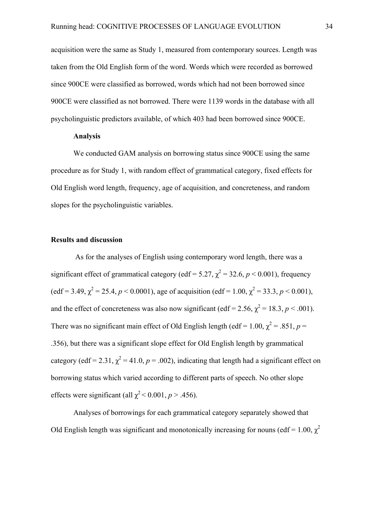acquisition were the same as Study 1, measured from contemporary sources. Length was taken from the Old English form of the word. Words which were recorded as borrowed since 900CE were classified as borrowed, words which had not been borrowed since 900CE were classified as not borrowed. There were 1139 words in the database with all psycholinguistic predictors available, of which 403 had been borrowed since 900CE.

#### **Analysis**

We conducted GAM analysis on borrowing status since 900CE using the same procedure as for Study 1, with random effect of grammatical category, fixed effects for Old English word length, frequency, age of acquisition, and concreteness, and random slopes for the psycholinguistic variables.

#### **Results and discussion**

As for the analyses of English using contemporary word length, there was a significant effect of grammatical category (edf = 5.27,  $\chi^2$  = 32.6, *p* < 0.001), frequency  $\text{(edf = 3.49, } \chi^2 = 25.4, p < 0.0001\text{),}$  age of acquisition  $\text{(edf = 1.00, } \chi^2 = 33.3, p < 0.001\text{),}$ and the effect of concreteness was also now significant (edf = 2.56,  $\chi^2$  = 18.3, *p* < .001). There was no significant main effect of Old English length (edf = 1.00,  $\chi^2$  = .851, *p* = .356), but there was a significant slope effect for Old English length by grammatical category (edf = 2.31,  $\chi^2$  = 41.0, *p* = .002), indicating that length had a significant effect on borrowing status which varied according to different parts of speech. No other slope effects were significant (all  $\chi^2$  < 0.001, *p* > .456).

Analyses of borrowings for each grammatical category separately showed that Old English length was significant and monotonically increasing for nouns (edf = 1.00,  $\chi^2$ )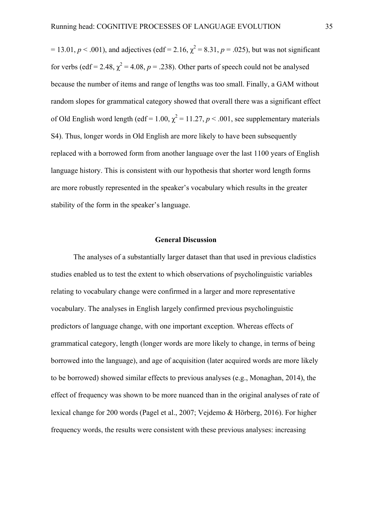$= 13.01, p < .001$ ), and adjectives (edf = 2.16,  $\chi^2 = 8.31, p = .025$ ), but was not significant for verbs (edf = 2.48,  $\chi^2$  = 4.08, *p* = .238). Other parts of speech could not be analysed because the number of items and range of lengths was too small. Finally, a GAM without random slopes for grammatical category showed that overall there was a significant effect of Old English word length (edf = 1.00,  $\chi^2$  = 11.27, *p* < .001, see supplementary materials S4). Thus, longer words in Old English are more likely to have been subsequently replaced with a borrowed form from another language over the last 1100 years of English language history. This is consistent with our hypothesis that shorter word length forms are more robustly represented in the speaker's vocabulary which results in the greater stability of the form in the speaker's language.

#### **General Discussion**

The analyses of a substantially larger dataset than that used in previous cladistics studies enabled us to test the extent to which observations of psycholinguistic variables relating to vocabulary change were confirmed in a larger and more representative vocabulary. The analyses in English largely confirmed previous psycholinguistic predictors of language change, with one important exception. Whereas effects of grammatical category, length (longer words are more likely to change, in terms of being borrowed into the language), and age of acquisition (later acquired words are more likely to be borrowed) showed similar effects to previous analyses (e.g., Monaghan, 2014), the effect of frequency was shown to be more nuanced than in the original analyses of rate of lexical change for 200 words (Pagel et al., 2007; Vejdemo & Hörberg, 2016). For higher frequency words, the results were consistent with these previous analyses: increasing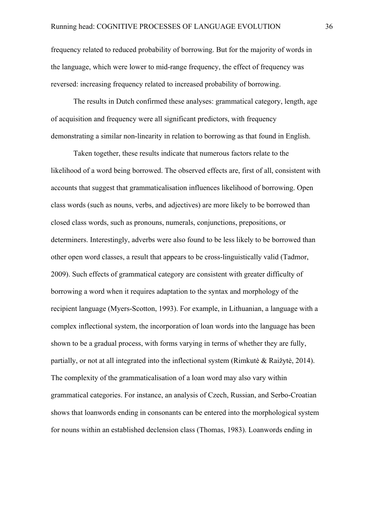frequency related to reduced probability of borrowing. But for the majority of words in the language, which were lower to mid-range frequency, the effect of frequency was reversed: increasing frequency related to increased probability of borrowing.

The results in Dutch confirmed these analyses: grammatical category, length, age of acquisition and frequency were all significant predictors, with frequency demonstrating a similar non-linearity in relation to borrowing as that found in English.

Taken together, these results indicate that numerous factors relate to the likelihood of a word being borrowed. The observed effects are, first of all, consistent with accounts that suggest that grammaticalisation influences likelihood of borrowing. Open class words (such as nouns, verbs, and adjectives) are more likely to be borrowed than closed class words, such as pronouns, numerals, conjunctions, prepositions, or determiners. Interestingly, adverbs were also found to be less likely to be borrowed than other open word classes, a result that appears to be cross-linguistically valid (Tadmor, 2009). Such effects of grammatical category are consistent with greater difficulty of borrowing a word when it requires adaptation to the syntax and morphology of the recipient language (Myers-Scotton, 1993). For example, in Lithuanian, a language with a complex inflectional system, the incorporation of loan words into the language has been shown to be a gradual process, with forms varying in terms of whether they are fully, partially, or not at all integrated into the inflectional system (Rimkutė & Raižytė, 2014). The complexity of the grammaticalisation of a loan word may also vary within grammatical categories. For instance, an analysis of Czech, Russian, and Serbo-Croatian shows that loanwords ending in consonants can be entered into the morphological system for nouns within an established declension class (Thomas, 1983). Loanwords ending in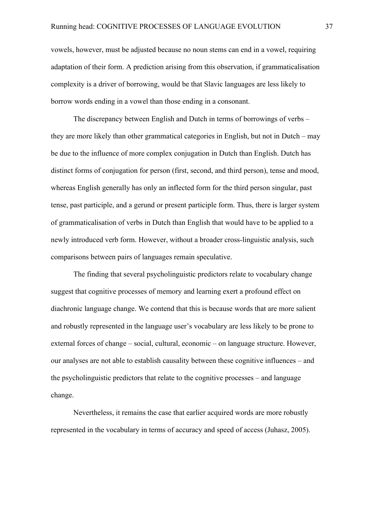vowels, however, must be adjusted because no noun stems can end in a vowel, requiring adaptation of their form. A prediction arising from this observation, if grammaticalisation complexity is a driver of borrowing, would be that Slavic languages are less likely to borrow words ending in a vowel than those ending in a consonant.

The discrepancy between English and Dutch in terms of borrowings of verbs – they are more likely than other grammatical categories in English, but not in Dutch – may be due to the influence of more complex conjugation in Dutch than English. Dutch has distinct forms of conjugation for person (first, second, and third person), tense and mood, whereas English generally has only an inflected form for the third person singular, past tense, past participle, and a gerund or present participle form. Thus, there is larger system of grammaticalisation of verbs in Dutch than English that would have to be applied to a newly introduced verb form. However, without a broader cross-linguistic analysis, such comparisons between pairs of languages remain speculative.

The finding that several psycholinguistic predictors relate to vocabulary change suggest that cognitive processes of memory and learning exert a profound effect on diachronic language change. We contend that this is because words that are more salient and robustly represented in the language user's vocabulary are less likely to be prone to external forces of change – social, cultural, economic – on language structure. However, our analyses are not able to establish causality between these cognitive influences – and the psycholinguistic predictors that relate to the cognitive processes – and language change.

Nevertheless, it remains the case that earlier acquired words are more robustly represented in the vocabulary in terms of accuracy and speed of access (Juhasz, 2005).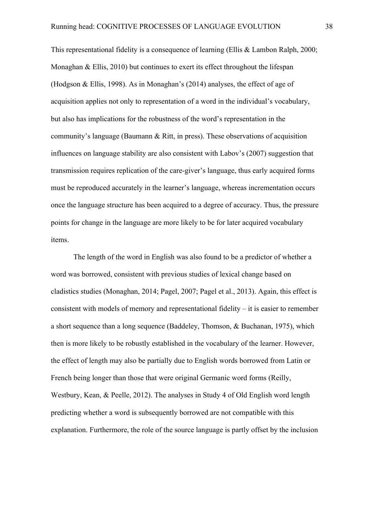This representational fidelity is a consequence of learning (Ellis & Lambon Ralph, 2000; Monaghan & Ellis, 2010) but continues to exert its effect throughout the lifespan (Hodgson & Ellis, 1998). As in Monaghan's (2014) analyses, the effect of age of acquisition applies not only to representation of a word in the individual's vocabulary, but also has implications for the robustness of the word's representation in the community's language (Baumann & Ritt, in press). These observations of acquisition influences on language stability are also consistent with Labov's (2007) suggestion that transmission requires replication of the care-giver's language, thus early acquired forms must be reproduced accurately in the learner's language, whereas incrementation occurs once the language structure has been acquired to a degree of accuracy. Thus, the pressure points for change in the language are more likely to be for later acquired vocabulary items.

The length of the word in English was also found to be a predictor of whether a word was borrowed, consistent with previous studies of lexical change based on cladistics studies (Monaghan, 2014; Pagel, 2007; Pagel et al., 2013). Again, this effect is consistent with models of memory and representational fidelity – it is easier to remember a short sequence than a long sequence (Baddeley, Thomson, & Buchanan, 1975), which then is more likely to be robustly established in the vocabulary of the learner. However, the effect of length may also be partially due to English words borrowed from Latin or French being longer than those that were original Germanic word forms (Reilly, Westbury, Kean, & Peelle, 2012). The analyses in Study 4 of Old English word length predicting whether a word is subsequently borrowed are not compatible with this explanation. Furthermore, the role of the source language is partly offset by the inclusion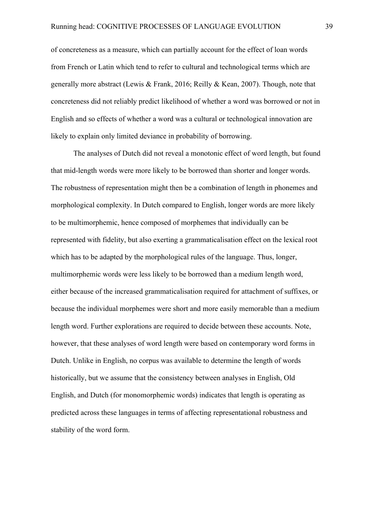of concreteness as a measure, which can partially account for the effect of loan words from French or Latin which tend to refer to cultural and technological terms which are generally more abstract (Lewis & Frank, 2016; Reilly & Kean, 2007). Though, note that concreteness did not reliably predict likelihood of whether a word was borrowed or not in English and so effects of whether a word was a cultural or technological innovation are likely to explain only limited deviance in probability of borrowing.

The analyses of Dutch did not reveal a monotonic effect of word length, but found that mid-length words were more likely to be borrowed than shorter and longer words. The robustness of representation might then be a combination of length in phonemes and morphological complexity. In Dutch compared to English, longer words are more likely to be multimorphemic, hence composed of morphemes that individually can be represented with fidelity, but also exerting a grammaticalisation effect on the lexical root which has to be adapted by the morphological rules of the language. Thus, longer, multimorphemic words were less likely to be borrowed than a medium length word, either because of the increased grammaticalisation required for attachment of suffixes, or because the individual morphemes were short and more easily memorable than a medium length word. Further explorations are required to decide between these accounts. Note, however, that these analyses of word length were based on contemporary word forms in Dutch. Unlike in English, no corpus was available to determine the length of words historically, but we assume that the consistency between analyses in English, Old English, and Dutch (for monomorphemic words) indicates that length is operating as predicted across these languages in terms of affecting representational robustness and stability of the word form.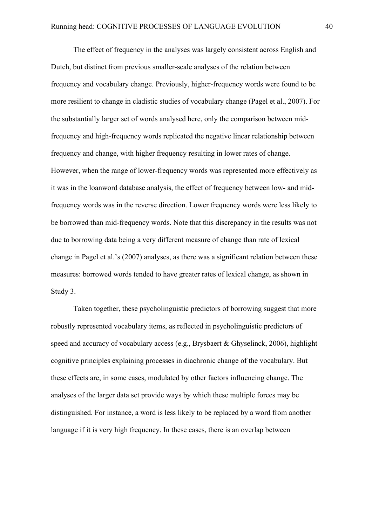The effect of frequency in the analyses was largely consistent across English and Dutch, but distinct from previous smaller-scale analyses of the relation between frequency and vocabulary change. Previously, higher-frequency words were found to be more resilient to change in cladistic studies of vocabulary change (Pagel et al., 2007). For the substantially larger set of words analysed here, only the comparison between midfrequency and high-frequency words replicated the negative linear relationship between frequency and change, with higher frequency resulting in lower rates of change. However, when the range of lower-frequency words was represented more effectively as it was in the loanword database analysis, the effect of frequency between low- and midfrequency words was in the reverse direction. Lower frequency words were less likely to be borrowed than mid-frequency words. Note that this discrepancy in the results was not due to borrowing data being a very different measure of change than rate of lexical change in Pagel et al.'s (2007) analyses, as there was a significant relation between these measures: borrowed words tended to have greater rates of lexical change, as shown in Study 3.

Taken together, these psycholinguistic predictors of borrowing suggest that more robustly represented vocabulary items, as reflected in psycholinguistic predictors of speed and accuracy of vocabulary access (e.g., Brysbaert & Ghyselinck, 2006), highlight cognitive principles explaining processes in diachronic change of the vocabulary. But these effects are, in some cases, modulated by other factors influencing change. The analyses of the larger data set provide ways by which these multiple forces may be distinguished. For instance, a word is less likely to be replaced by a word from another language if it is very high frequency. In these cases, there is an overlap between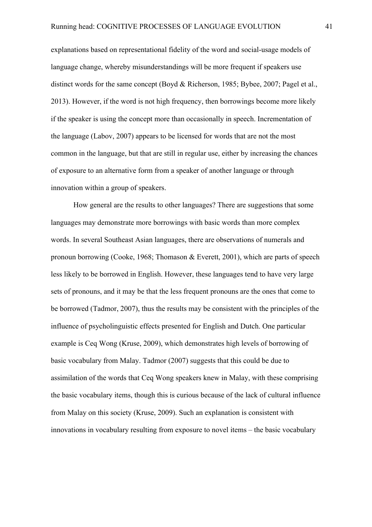explanations based on representational fidelity of the word and social-usage models of language change, whereby misunderstandings will be more frequent if speakers use distinct words for the same concept (Boyd & Richerson, 1985; Bybee, 2007; Pagel et al., 2013). However, if the word is not high frequency, then borrowings become more likely if the speaker is using the concept more than occasionally in speech. Incrementation of the language (Labov, 2007) appears to be licensed for words that are not the most common in the language, but that are still in regular use, either by increasing the chances of exposure to an alternative form from a speaker of another language or through innovation within a group of speakers.

How general are the results to other languages? There are suggestions that some languages may demonstrate more borrowings with basic words than more complex words. In several Southeast Asian languages, there are observations of numerals and pronoun borrowing (Cooke, 1968; Thomason & Everett, 2001), which are parts of speech less likely to be borrowed in English. However, these languages tend to have very large sets of pronouns, and it may be that the less frequent pronouns are the ones that come to be borrowed (Tadmor, 2007), thus the results may be consistent with the principles of the influence of psycholinguistic effects presented for English and Dutch. One particular example is Ceq Wong (Kruse, 2009), which demonstrates high levels of borrowing of basic vocabulary from Malay. Tadmor (2007) suggests that this could be due to assimilation of the words that Ceq Wong speakers knew in Malay, with these comprising the basic vocabulary items, though this is curious because of the lack of cultural influence from Malay on this society (Kruse, 2009). Such an explanation is consistent with innovations in vocabulary resulting from exposure to novel items – the basic vocabulary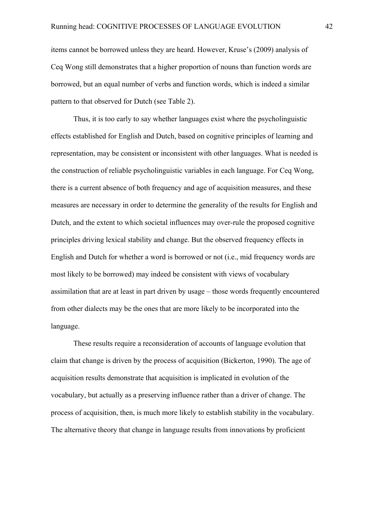items cannot be borrowed unless they are heard. However, Kruse's (2009) analysis of Ceq Wong still demonstrates that a higher proportion of nouns than function words are borrowed, but an equal number of verbs and function words, which is indeed a similar pattern to that observed for Dutch (see Table 2).

Thus, it is too early to say whether languages exist where the psycholinguistic effects established for English and Dutch, based on cognitive principles of learning and representation, may be consistent or inconsistent with other languages. What is needed is the construction of reliable psycholinguistic variables in each language. For Ceq Wong, there is a current absence of both frequency and age of acquisition measures, and these measures are necessary in order to determine the generality of the results for English and Dutch, and the extent to which societal influences may over-rule the proposed cognitive principles driving lexical stability and change. But the observed frequency effects in English and Dutch for whether a word is borrowed or not (i.e., mid frequency words are most likely to be borrowed) may indeed be consistent with views of vocabulary assimilation that are at least in part driven by usage – those words frequently encountered from other dialects may be the ones that are more likely to be incorporated into the language.

These results require a reconsideration of accounts of language evolution that claim that change is driven by the process of acquisition (Bickerton, 1990). The age of acquisition results demonstrate that acquisition is implicated in evolution of the vocabulary, but actually as a preserving influence rather than a driver of change. The process of acquisition, then, is much more likely to establish stability in the vocabulary. The alternative theory that change in language results from innovations by proficient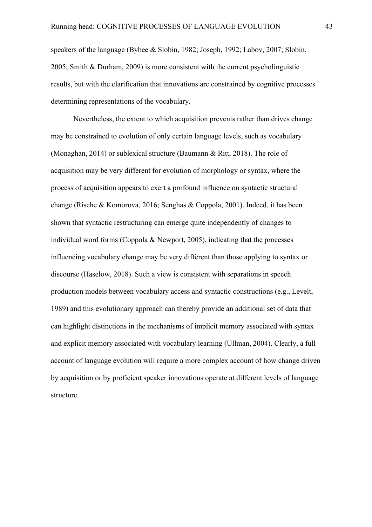speakers of the language (Bybee & Slobin, 1982; Joseph, 1992; Labov, 2007; Slobin, 2005; Smith & Durham, 2009) is more consistent with the current psycholinguistic results, but with the clarification that innovations are constrained by cognitive processes determining representations of the vocabulary.

Nevertheless, the extent to which acquisition prevents rather than drives change may be constrained to evolution of only certain language levels, such as vocabulary (Monaghan, 2014) or sublexical structure (Baumann & Ritt, 2018). The role of acquisition may be very different for evolution of morphology or syntax, where the process of acquisition appears to exert a profound influence on syntactic structural change (Rische & Komorova, 2016; Senghas & Coppola, 2001). Indeed, it has been shown that syntactic restructuring can emerge quite independently of changes to individual word forms (Coppola & Newport, 2005), indicating that the processes influencing vocabulary change may be very different than those applying to syntax or discourse (Haselow, 2018). Such a view is consistent with separations in speech production models between vocabulary access and syntactic constructions (e.g., Levelt, 1989) and this evolutionary approach can thereby provide an additional set of data that can highlight distinctions in the mechanisms of implicit memory associated with syntax and explicit memory associated with vocabulary learning (Ullman, 2004). Clearly, a full account of language evolution will require a more complex account of how change driven by acquisition or by proficient speaker innovations operate at different levels of language structure.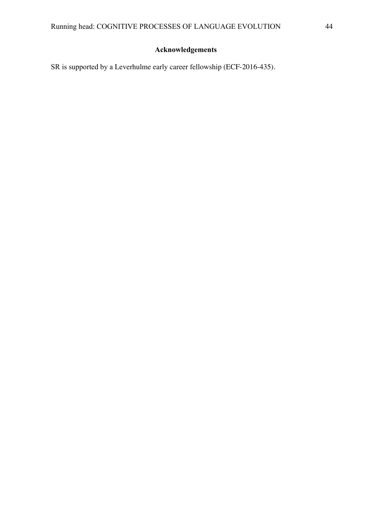### **Acknowledgements**

SR is supported by a Leverhulme early career fellowship (ECF-2016-435).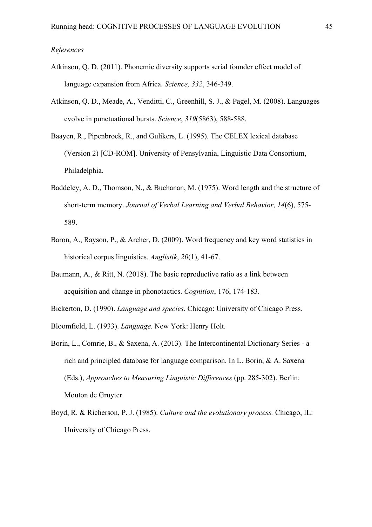#### *References*

- Atkinson, Q. D. (2011). Phonemic diversity supports serial founder effect model of language expansion from Africa. *Science, 332*, 346-349.
- Atkinson, Q. D., Meade, A., Venditti, C., Greenhill, S. J., & Pagel, M. (2008). Languages evolve in punctuational bursts. *Science*, *319*(5863), 588-588.
- Baayen, R., Pipenbrock, R., and Gulikers, L. (1995). The CELEX lexical database (Version 2) [CD-ROM]. University of Pensylvania, Linguistic Data Consortium, Philadelphia.
- Baddeley, A. D., Thomson, N., & Buchanan, M. (1975). Word length and the structure of short-term memory. *Journal of Verbal Learning and Verbal Behavior*, *14*(6), 575- 589.
- Baron, A., Rayson, P., & Archer, D. (2009). Word frequency and key word statistics in historical corpus linguistics. *Anglistik*, *20*(1), 41-67.
- Baumann, A., & Ritt, N. (2018). The basic reproductive ratio as a link between acquisition and change in phonotactics. *Cognition*, 176, 174-183.

Bickerton, D. (1990). *Language and species*. Chicago: University of Chicago Press.

- Bloomfield, L. (1933). *Language*. New York: Henry Holt.
- Borin, L., Comrie, B., & Saxena, A. (2013). The Intercontinental Dictionary Series a rich and principled database for language comparison. In L. Borin, & A. Saxena (Eds.), *Approaches to Measuring Linguistic Differences* (pp. 285-302). Berlin: Mouton de Gruyter.
- Boyd, R. & Richerson, P. J. (1985). *Culture and the evolutionary process.* Chicago, IL: University of Chicago Press.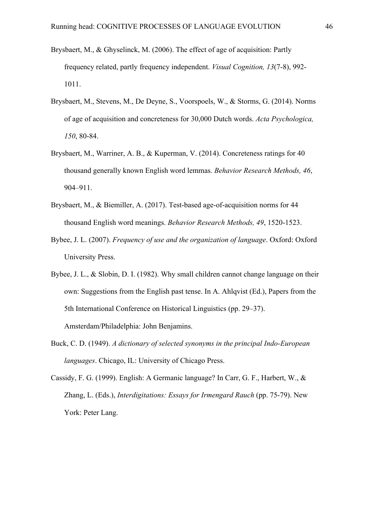- Brysbaert, M., & Ghyselinck, M. (2006). The effect of age of acquisition: Partly frequency related, partly frequency independent. *Visual Cognition, 13*(7-8), 992- 1011.
- Brysbaert, M., Stevens, M., De Deyne, S., Voorspoels, W., & Storms, G. (2014). Norms of age of acquisition and concreteness for 30,000 Dutch words. *Acta Psychologica, 150*, 80-84.
- Brysbaert, M., Warriner, A. B., & Kuperman, V. (2014). Concreteness ratings for 40 thousand generally known English word lemmas. *Behavior Research Methods, 46*, 904–911.
- Brysbaert, M., & Biemiller, A. (2017). Test-based age-of-acquisition norms for 44 thousand English word meanings. *Behavior Research Methods, 49*, 1520-1523.
- Bybee, J. L. (2007). *Frequency of use and the organization of language*. Oxford: Oxford University Press.
- Bybee, J. L., & Slobin, D. I. (1982). Why small children cannot change language on their own: Suggestions from the English past tense. In A. Ahlqvist (Ed.), Papers from the 5th International Conference on Historical Linguistics (pp. 29–37). Amsterdam/Philadelphia: John Benjamins.
- Buck, C. D. (1949). *A dictionary of selected synonyms in the principal Indo-European languages*. Chicago, IL: University of Chicago Press.
- Cassidy, F. G. (1999). English: A Germanic language? In Carr, G. F., Harbert, W., & Zhang, L. (Eds.), *Interdigitations: Essays for Irmengard Rauch* (pp. 75-79). New York: Peter Lang.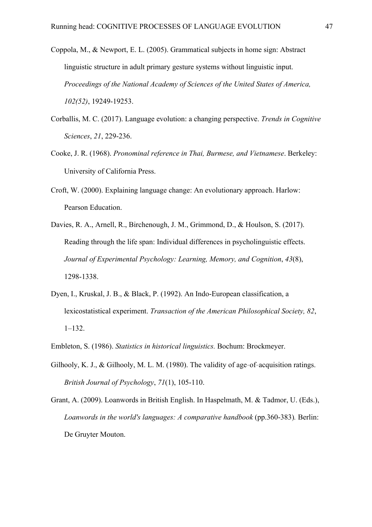- Coppola, M., & Newport, E. L. (2005). Grammatical subjects in home sign: Abstract linguistic structure in adult primary gesture systems without linguistic input. *Proceedings of the National Academy of Sciences of the United States of America, 102(52)*, 19249-19253.
- Corballis, M. C. (2017). Language evolution: a changing perspective. *Trends in Cognitive Sciences*, *21*, 229-236.
- Cooke, J. R. (1968). *Pronominal reference in Thai, Burmese, and Vietnamese*. Berkeley: University of California Press.
- Croft, W. (2000). Explaining language change: An evolutionary approach. Harlow: Pearson Education.
- Davies, R. A., Arnell, R., Birchenough, J. M., Grimmond, D., & Houlson, S. (2017). Reading through the life span: Individual differences in psycholinguistic effects. *Journal of Experimental Psychology: Learning, Memory, and Cognition*, *43*(8), 1298-1338.
- Dyen, I., Kruskal, J. B., & Black, P. (1992). An Indo-European classification, a lexicostatistical experiment. *Transaction of the American Philosophical Society, 82*, 1–132.
- Embleton, S. (1986). *Statistics in historical linguistics.* Bochum: Brockmeyer.
- Gilhooly, K. J., & Gilhooly, M. L. M. (1980). The validity of age-of-acquisition ratings. *British Journal of Psychology*, *71*(1), 105-110.
- Grant, A. (2009). Loanwords in British English. In Haspelmath, M. & Tadmor, U. (Eds.), *Loanwords in the world's languages: A comparative handbook* (pp.360-383)*.* Berlin: De Gruyter Mouton.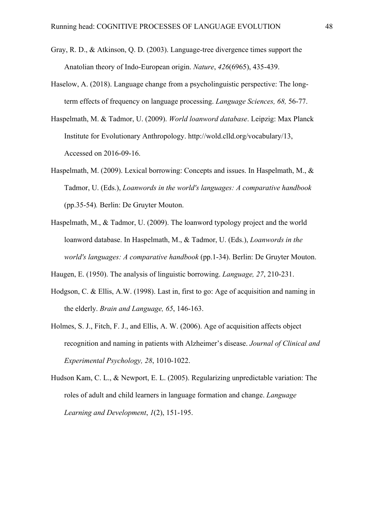- Gray, R. D., & Atkinson, Q. D. (2003). Language-tree divergence times support the Anatolian theory of Indo-European origin. *Nature*, *426*(6965), 435-439.
- Haselow, A. (2018). Language change from a psycholinguistic perspective: The longterm effects of frequency on language processing. *Language Sciences, 68,* 56-77.
- Haspelmath, M. & Tadmor, U. (2009). *World loanword database*. Leipzig: Max Planck Institute for Evolutionary Anthropology. http://wold.clld.org/vocabulary/13, Accessed on 2016-09-16.
- Haspelmath, M. (2009). Lexical borrowing: Concepts and issues. In Haspelmath, M., & Tadmor, U. (Eds.), *Loanwords in the world's languages: A comparative handbook*  (pp.35-54)*.* Berlin: De Gruyter Mouton.
- Haspelmath, M., & Tadmor, U. (2009). The loanword typology project and the world loanword database. In Haspelmath, M., & Tadmor, U. (Eds.), *Loanwords in the world's languages: A comparative handbook* (pp.1-34). Berlin: De Gruyter Mouton.

Haugen, E. (1950). The analysis of linguistic borrowing. *Language, 27*, 210-231.

- Hodgson, C. & Ellis, A.W. (1998). Last in, first to go: Age of acquisition and naming in the elderly. *Brain and Language, 65*, 146-163.
- Holmes, S. J., Fitch, F. J., and Ellis, A. W. (2006). Age of acquisition affects object recognition and naming in patients with Alzheimer's disease. *Journal of Clinical and Experimental Psychology, 28*, 1010-1022.
- Hudson Kam, C. L., & Newport, E. L. (2005). Regularizing unpredictable variation: The roles of adult and child learners in language formation and change. *Language Learning and Development*, *1*(2), 151-195.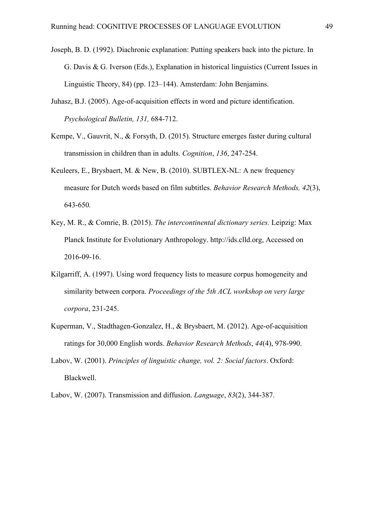- Joseph, B. D. (1992). Diachronic explanation: Putting speakers back into the picture. In G. Davis & G. Iverson (Eds.), Explanation in historical linguistics (Current Issues in Linguistic Theory, 84) (pp. 123–144). Amsterdam: John Benjamins.
- Juhasz, B.J. (2005). Age-of-acquisition effects in word and picture identification. *Psychological Bulletin, 131,* 684-712.
- Kempe, V., Gauvrit, N., & Forsyth, D. (2015). Structure emerges faster during cultural transmission in children than in adults. *Cognition*, *136*, 247-254.
- Keuleers, E., Brysbaert, M. & New, B. (2010). SUBTLEX-NL: A new frequency measure for Dutch words based on film subtitles. *Behavior Research Methods, 42*(3), 643-650*.*
- Key, M. R., & Comrie, B. (2015). *The intercontinental dictionary series.* Leipzig: Max Planck Institute for Evolutionary Anthropology. http://ids.clld.org, Accessed on 2016-09-16.
- Kilgarriff, A. (1997). Using word frequency lists to measure corpus homogeneity and similarity between corpora. *Proceedings of the 5th ACL workshop on very large corpora*, 231-245.
- Kuperman, V., Stadthagen-Gonzalez, H., & Brysbaert, M. (2012). Age-of-acquisition ratings for 30,000 English words. *Behavior Research Methods*, *44*(4), 978-990.
- Labov, W. (2001). *Principles of linguistic change, vol. 2: Social factors*. Oxford: Blackwell.
- Labov, W. (2007). Transmission and diffusion. *Language*, *83*(2), 344-387.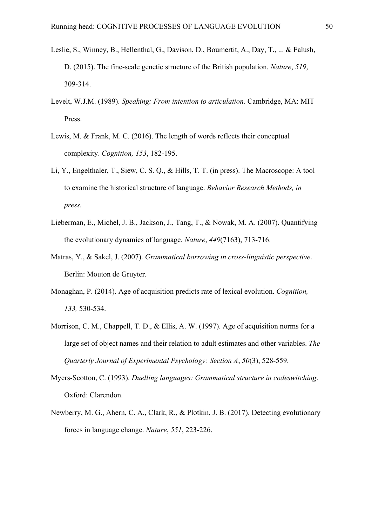- Leslie, S., Winney, B., Hellenthal, G., Davison, D., Boumertit, A., Day, T., ... & Falush, D. (2015). The fine-scale genetic structure of the British population. *Nature*, *519*, 309-314.
- Levelt, W.J.M. (1989). *Speaking: From intention to articulation.* Cambridge, MA: MIT Press.
- Lewis, M. & Frank, M. C. (2016). The length of words reflects their conceptual complexity. *Cognition, 153*, 182-195.
- Li, Y., Engelthaler, T., Siew, C. S. Q., & Hills, T. T. (in press). The Macroscope: A tool to examine the historical structure of language. *Behavior Research Methods, in press.*
- Lieberman, E., Michel, J. B., Jackson, J., Tang, T., & Nowak, M. A. (2007). Quantifying the evolutionary dynamics of language. *Nature*, *449*(7163), 713-716.
- Matras, Y., & Sakel, J. (2007). *Grammatical borrowing in cross-linguistic perspective*. Berlin: Mouton de Gruyter.
- Monaghan, P. (2014). Age of acquisition predicts rate of lexical evolution. *Cognition, 133,* 530-534.
- Morrison, C. M., Chappell, T. D., & Ellis, A. W. (1997). Age of acquisition norms for a large set of object names and their relation to adult estimates and other variables. *The Quarterly Journal of Experimental Psychology: Section A*, *50*(3), 528-559.
- Myers-Scotton, C. (1993). *Duelling languages: Grammatical structure in codeswitching*. Oxford: Clarendon.
- Newberry, M. G., Ahern, C. A., Clark, R., & Plotkin, J. B. (2017). Detecting evolutionary forces in language change. *Nature*, *551*, 223-226.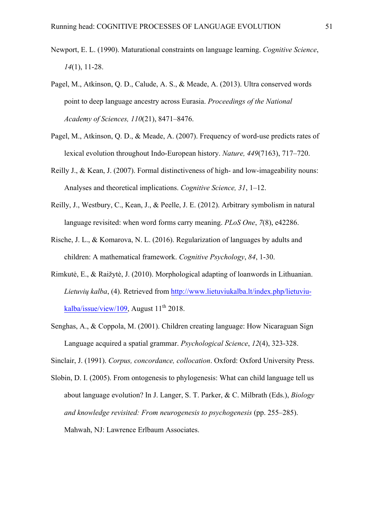- Newport, E. L. (1990). Maturational constraints on language learning. *Cognitive Science*, *14*(1), 11-28.
- Pagel, M., Atkinson, Q. D., Calude, A. S., & Meade, A. (2013). Ultra conserved words point to deep language ancestry across Eurasia. *Proceedings of the National Academy of Sciences, 110*(21), 8471–8476.
- Pagel, M., Atkinson, Q. D., & Meade, A. (2007). Frequency of word-use predicts rates of lexical evolution throughout Indo-European history. *Nature, 449*(7163), 717–720.
- Reilly J., & Kean, J. (2007). Formal distinctiveness of high- and low-imageability nouns: Analyses and theoretical implications. *Cognitive Science, 31*, 1–12.
- Reilly, J., Westbury, C., Kean, J., & Peelle, J. E. (2012). Arbitrary symbolism in natural language revisited: when word forms carry meaning. *PLoS One*, *7*(8), e42286.
- Rische, J. L., & Komarova, N. L. (2016). Regularization of languages by adults and children: A mathematical framework. *Cognitive Psychology*, *84*, 1-30.
- Rimkutė, E., & Raižytė, J. (2010). Morphological adapting of loanwords in Lithuanian. *Lietuvių kalba*, (4). Retrieved from http://www.lietuviukalba.lt/index.php/lietuviukalba/issue/view/109, August  $11<sup>th</sup>$  2018.
- Senghas, A., & Coppola, M. (2001). Children creating language: How Nicaraguan Sign Language acquired a spatial grammar. *Psychological Science*, *12*(4), 323-328.

Sinclair, J. (1991). *Corpus, concordance, collocation*. Oxford: Oxford University Press.

Slobin, D. I. (2005). From ontogenesis to phylogenesis: What can child language tell us about language evolution? In J. Langer, S. T. Parker, & C. Milbrath (Eds.), *Biology and knowledge revisited: From neurogenesis to psychogenesis* (pp. 255–285). Mahwah, NJ: Lawrence Erlbaum Associates.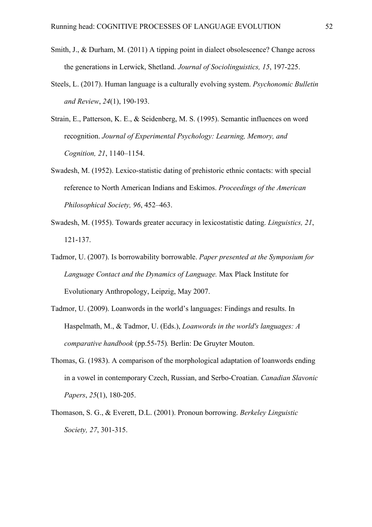- Smith, J., & Durham, M. (2011) A tipping point in dialect obsolescence? Change across the generations in Lerwick, Shetland. *Journal of Sociolinguistics, 15*, 197-225.
- Steels, L. (2017). Human language is a culturally evolving system. *Psychonomic Bulletin and Review*, *24*(1), 190-193.
- Strain, E., Patterson, K. E., & Seidenberg, M. S. (1995). Semantic influences on word recognition. *Journal of Experimental Psychology: Learning, Memory, and Cognition, 21*, 1140–1154.
- Swadesh, M. (1952). Lexico-statistic dating of prehistoric ethnic contacts: with special reference to North American Indians and Eskimos. *Proceedings of the American Philosophical Society, 96*, 452–463.
- Swadesh, M. (1955). Towards greater accuracy in lexicostatistic dating. *Linguistics, 21*, 121-137.
- Tadmor, U. (2007). Is borrowability borrowable. *Paper presented at the Symposium for Language Contact and the Dynamics of Language.* Max Plack Institute for Evolutionary Anthropology, Leipzig, May 2007.
- Tadmor, U. (2009). Loanwords in the world's languages: Findings and results. In Haspelmath, M., & Tadmor, U. (Eds.), *Loanwords in the world's languages: A comparative handbook* (pp.55-75)*.* Berlin: De Gruyter Mouton.
- Thomas, G. (1983). A comparison of the morphological adaptation of loanwords ending in a vowel in contemporary Czech, Russian, and Serbo-Croatian. *Canadian Slavonic Papers*, *25*(1), 180-205.
- Thomason, S. G., & Everett, D.L. (2001). Pronoun borrowing. *Berkeley Linguistic Society, 27*, 301-315.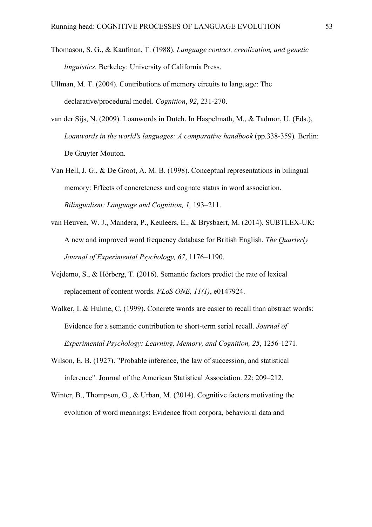- Thomason, S. G., & Kaufman, T. (1988). *Language contact, creolization, and genetic linguistics.* Berkeley: University of California Press.
- Ullman, M. T. (2004). Contributions of memory circuits to language: The declarative/procedural model. *Cognition*, *92*, 231-270.
- van der Sijs, N. (2009). Loanwords in Dutch. In Haspelmath, M., & Tadmor, U. (Eds.), *Loanwords in the world's languages: A comparative handbook* (pp.338-359)*.* Berlin: De Gruyter Mouton.
- Van Hell, J. G., & De Groot, A. M. B. (1998). Conceptual representations in bilingual memory: Effects of concreteness and cognate status in word association. *Bilingualism: Language and Cognition, 1,* 193–211.
- van Heuven, W. J., Mandera, P., Keuleers, E., & Brysbaert, M. (2014). SUBTLEX-UK: A new and improved word frequency database for British English. *The Quarterly Journal of Experimental Psychology, 67*, 1176–1190.
- Vejdemo, S., & Hörberg, T. (2016). Semantic factors predict the rate of lexical replacement of content words. *PLoS ONE, 11(1)*, e0147924.
- Walker, I. & Hulme, C. (1999). Concrete words are easier to recall than abstract words: Evidence for a semantic contribution to short-term serial recall. *Journal of Experimental Psychology: Learning, Memory, and Cognition, 25*, 1256-1271.
- Wilson, E. B. (1927). "Probable inference, the law of succession, and statistical inference". Journal of the American Statistical Association. 22: 209–212.
- Winter, B., Thompson, G., & Urban, M. (2014). Cognitive factors motivating the evolution of word meanings: Evidence from corpora, behavioral data and